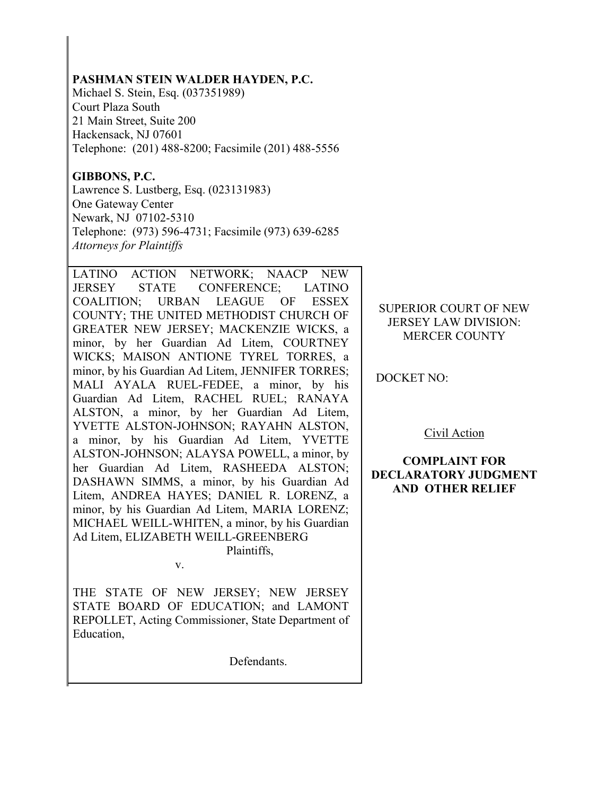### **PASHMAN STEIN WALDER HAYDEN, P.C.**

Michael S. Stein, Esq. (037351989) Court Plaza South 21 Main Street, Suite 200 Hackensack, NJ 07601 Telephone: (201) 488-8200; Facsimile (201) 488-5556

# **GIBBONS, P.C.**

Lawrence S. Lustberg, Esq. (023131983) One Gateway Center Newark, NJ 07102-5310 Telephone: (973) 596-4731; Facsimile (973) 639-6285 *Attorneys for Plaintiffs*

LATINO ACTION NETWORK; NAACP NEW JERSEY STATE CONFERENCE; LATINO COALITION; URBAN LEAGUE OF ESSEX COUNTY; THE UNITED METHODIST CHURCH OF GREATER NEW JERSEY; MACKENZIE WICKS, a minor, by her Guardian Ad Litem, COURTNEY WICKS; MAISON ANTIONE TYREL TORRES, a minor, by his Guardian Ad Litem, JENNIFER TORRES; MALI AYALA RUEL-FEDEE, a minor, by his Guardian Ad Litem, RACHEL RUEL; RANAYA ALSTON, a minor, by her Guardian Ad Litem, YVETTE ALSTON-JOHNSON; RAYAHN ALSTON, a minor, by his Guardian Ad Litem, YVETTE ALSTON-JOHNSON; ALAYSA POWELL, a minor, by her Guardian Ad Litem, RASHEEDA ALSTON; DASHAWN SIMMS, a minor, by his Guardian Ad Litem, ANDREA HAYES; DANIEL R. LORENZ, a minor, by his Guardian Ad Litem, MARIA LORENZ; MICHAEL WEILL-WHITEN, a minor, by his Guardian Ad Litem, ELIZABETH WEILL-GREENBERG Plaintiffs,

v.

THE STATE OF NEW JERSEY; NEW JERSEY STATE BOARD OF EDUCATION; and LAMONT REPOLLET, Acting Commissioner, State Department of Education,

Defendants.

## SUPERIOR COURT OF NEW JERSEY LAW DIVISION: MERCER COUNTY

DOCKET NO:

Civil Action

## **COMPLAINT FOR DECLARATORY JUDGMENT AND OTHER RELIEF**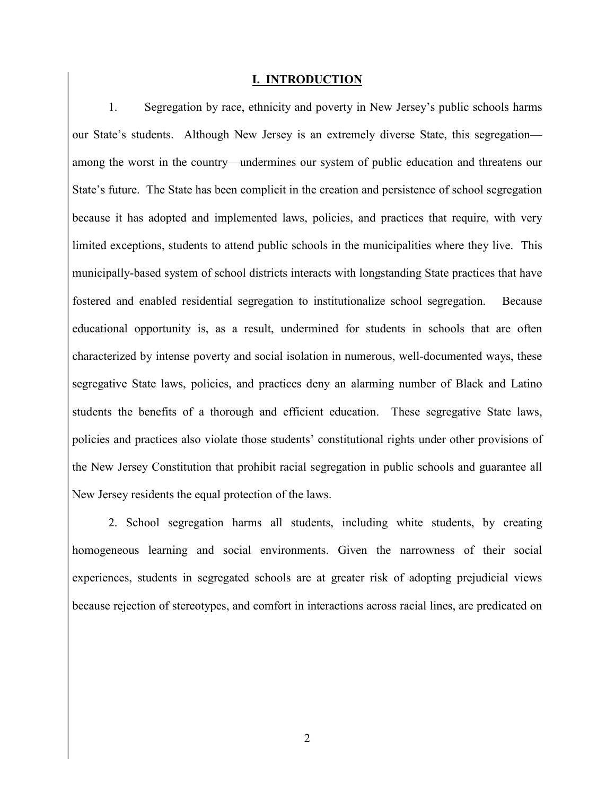#### **I. INTRODUCTION**

1. Segregation by race, ethnicity and poverty in New Jersey's public schools harms our State's students. Although New Jersey is an extremely diverse State, this segregation among the worst in the country—undermines our system of public education and threatens our State's future. The State has been complicit in the creation and persistence of school segregation because it has adopted and implemented laws, policies, and practices that require, with very limited exceptions, students to attend public schools in the municipalities where they live. This municipally-based system of school districts interacts with longstanding State practices that have fostered and enabled residential segregation to institutionalize school segregation. Because educational opportunity is, as a result, undermined for students in schools that are often characterized by intense poverty and social isolation in numerous, well-documented ways, these segregative State laws, policies, and practices deny an alarming number of Black and Latino students the benefits of a thorough and efficient education. These segregative State laws, policies and practices also violate those students' constitutional rights under other provisions of the New Jersey Constitution that prohibit racial segregation in public schools and guarantee all New Jersey residents the equal protection of the laws.

2. School segregation harms all students, including white students, by creating homogeneous learning and social environments. Given the narrowness of their social experiences, students in segregated schools are at greater risk of adopting prejudicial views because rejection of stereotypes, and comfort in interactions across racial lines, are predicated on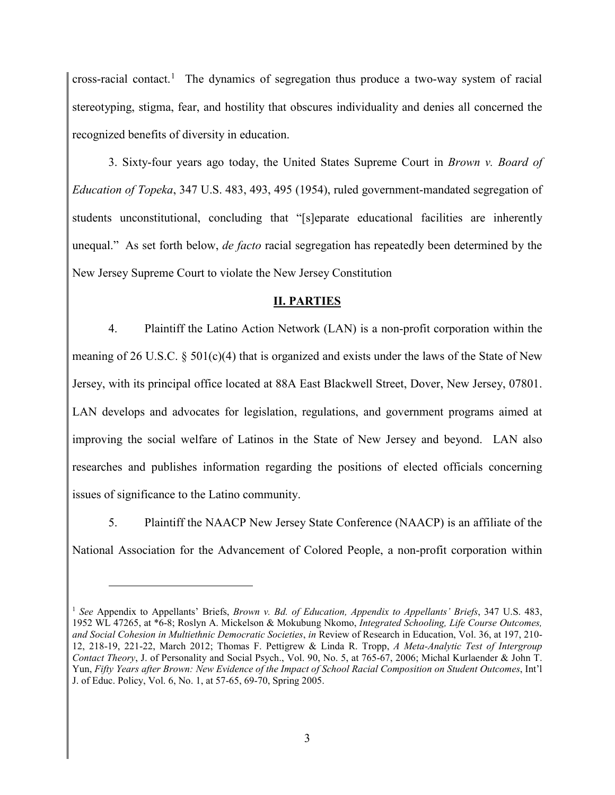cross-racial contact. 1 The dynamics of segregation thus produce a two-way system of racial stereotyping, stigma, fear, and hostility that obscures individuality and denies all concerned the recognized benefits of diversity in education.

3. Sixty-four years ago today, the United States Supreme Court in *Brown v. Board of Education of Topeka*, 347 U.S. 483, 493, 495 (1954), ruled government-mandated segregation of students unconstitutional, concluding that "[s]eparate educational facilities are inherently unequal." As set forth below, *de facto* racial segregation has repeatedly been determined by the New Jersey Supreme Court to violate the New Jersey Constitution

# **II. PARTIES**

4. Plaintiff the Latino Action Network (LAN) is a non-profit corporation within the meaning of 26 U.S.C. § 501(c)(4) that is organized and exists under the laws of the State of New Jersey, with its principal office located at 88A East Blackwell Street, Dover, New Jersey, 07801. LAN develops and advocates for legislation, regulations, and government programs aimed at improving the social welfare of Latinos in the State of New Jersey and beyond. LAN also researches and publishes information regarding the positions of elected officials concerning issues of significance to the Latino community.

5. Plaintiff the NAACP New Jersey State Conference (NAACP) is an affiliate of the National Association for the Advancement of Colored People, a non-profit corporation within

<sup>1</sup> *See* Appendix to Appellants' Briefs, *Brown v. Bd. of Education, Appendix to Appellants' Briefs*, 347 U.S. 483, 1952 WL 47265, at \*6-8; Roslyn A. Mickelson & Mokubung Nkomo, *Integrated Schooling, Life Course Outcomes, and Social Cohesion in Multiethnic Democratic Societies*, *in* Review of Research in Education, Vol. 36, at 197, 210- 12, 218-19, 221-22, March 2012; Thomas F. Pettigrew & Linda R. Tropp, *A Meta-Analytic Test of Intergroup Contact Theory*, J. of Personality and Social Psych., Vol. 90, No. 5, at 765-67, 2006; Michal Kurlaender & John T. Yun, *Fifty Years after Brown: New Evidence of the Impact of School Racial Composition on Student Outcomes*, Int'l J. of Educ. Policy, Vol. 6, No. 1, at 57-65, 69-70, Spring 2005.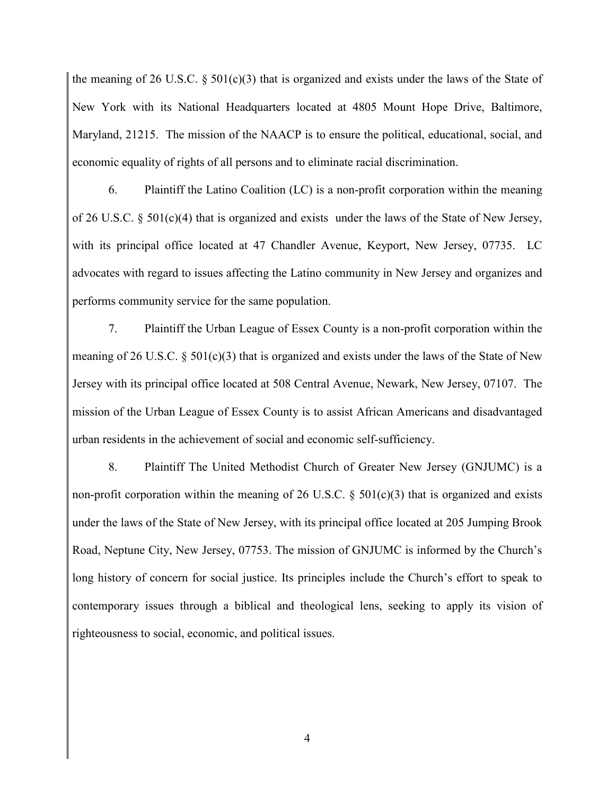the meaning of 26 U.S.C. § 501(c)(3) that is organized and exists under the laws of the State of New York with its National Headquarters located at 4805 Mount Hope Drive, Baltimore, Maryland, 21215. The mission of the NAACP is to ensure the political, educational, social, and economic equality of rights of all persons and to eliminate racial discrimination.

6. Plaintiff the Latino Coalition (LC) is a non-profit corporation within the meaning of 26 U.S.C. § 501(c)(4) that is organized and exists under the laws of the State of New Jersey, with its principal office located at 47 Chandler Avenue, Keyport, New Jersey, 07735. LC advocates with regard to issues affecting the Latino community in New Jersey and organizes and performs community service for the same population.

7. Plaintiff the Urban League of Essex County is a non-profit corporation within the meaning of 26 U.S.C. § 501(c)(3) that is organized and exists under the laws of the State of New Jersey with its principal office located at 508 Central Avenue, Newark, New Jersey, 07107. The mission of the Urban League of Essex County is to assist African Americans and disadvantaged urban residents in the achievement of social and economic self-sufficiency.

8. Plaintiff The United Methodist Church of Greater New Jersey (GNJUMC) is a non-profit corporation within the meaning of 26 U.S.C.  $\S$  501(c)(3) that is organized and exists under the laws of the State of New Jersey, with its principal office located at 205 Jumping Brook Road, Neptune City, New Jersey, 07753. The mission of GNJUMC is informed by the Church's long history of concern for social justice. Its principles include the Church's effort to speak to contemporary issues through a biblical and theological lens, seeking to apply its vision of righteousness to social, economic, and political issues.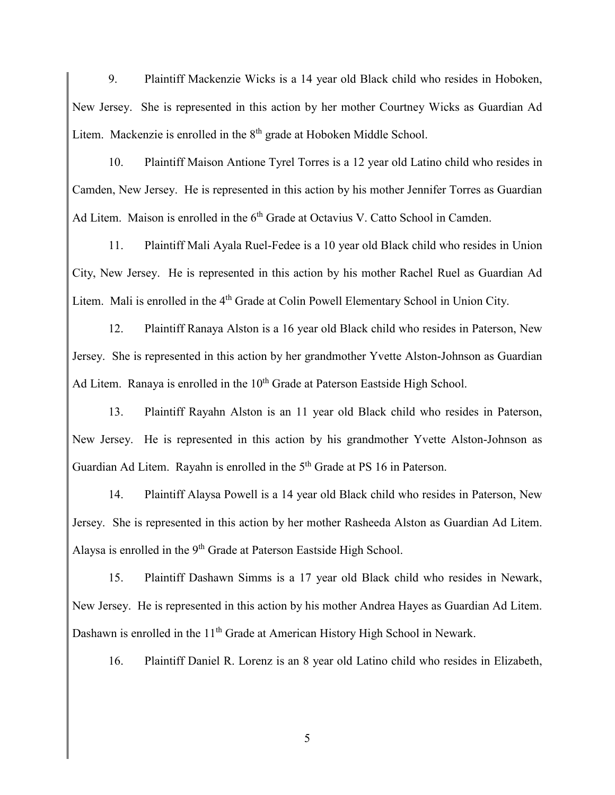9. Plaintiff Mackenzie Wicks is a 14 year old Black child who resides in Hoboken, New Jersey. She is represented in this action by her mother Courtney Wicks as Guardian Ad Litem. Mackenzie is enrolled in the 8<sup>th</sup> grade at Hoboken Middle School.

10. Plaintiff Maison Antione Tyrel Torres is a 12 year old Latino child who resides in Camden, New Jersey. He is represented in this action by his mother Jennifer Torres as Guardian Ad Litem. Maison is enrolled in the 6<sup>th</sup> Grade at Octavius V. Catto School in Camden.

11. Plaintiff Mali Ayala Ruel-Fedee is a 10 year old Black child who resides in Union City, New Jersey. He is represented in this action by his mother Rachel Ruel as Guardian Ad Litem. Mali is enrolled in the 4<sup>th</sup> Grade at Colin Powell Elementary School in Union City.

12. Plaintiff Ranaya Alston is a 16 year old Black child who resides in Paterson, New Jersey. She is represented in this action by her grandmother Yvette Alston-Johnson as Guardian Ad Litem. Ranaya is enrolled in the 10<sup>th</sup> Grade at Paterson Eastside High School.

13. Plaintiff Rayahn Alston is an 11 year old Black child who resides in Paterson, New Jersey. He is represented in this action by his grandmother Yvette Alston-Johnson as Guardian Ad Litem. Rayahn is enrolled in the 5<sup>th</sup> Grade at PS 16 in Paterson.

14. Plaintiff Alaysa Powell is a 14 year old Black child who resides in Paterson, New Jersey. She is represented in this action by her mother Rasheeda Alston as Guardian Ad Litem. Alaysa is enrolled in the 9<sup>th</sup> Grade at Paterson Eastside High School.

15. Plaintiff Dashawn Simms is a 17 year old Black child who resides in Newark, New Jersey. He is represented in this action by his mother Andrea Hayes as Guardian Ad Litem. Dashawn is enrolled in the 11<sup>th</sup> Grade at American History High School in Newark.

16. Plaintiff Daniel R. Lorenz is an 8 year old Latino child who resides in Elizabeth,

5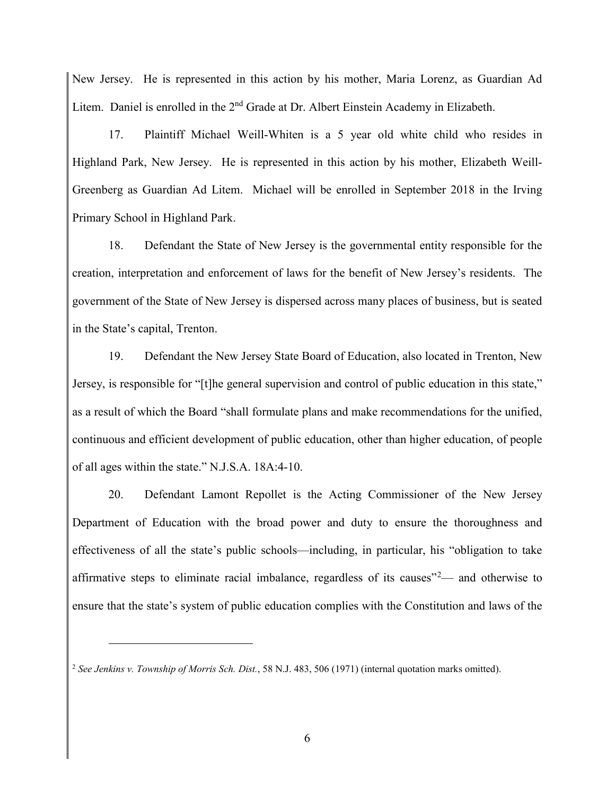New Jersey. He is represented in this action by his mother, Maria Lorenz, as Guardian Ad Litem. Daniel is enrolled in the 2<sup>nd</sup> Grade at Dr. Albert Einstein Academy in Elizabeth.

17. Plaintiff Michael Weill-Whiten is a 5 year old white child who resides in Highland Park, New Jersey. He is represented in this action by his mother, Elizabeth Weill-Greenberg as Guardian Ad Litem. Michael will be enrolled in September 2018 in the Irving Primary School in Highland Park.

18. Defendant the State of New Jersey is the governmental entity responsible for the creation, interpretation and enforcement of laws for the benefit of New Jersey's residents. The government of the State of New Jersey is dispersed across many places of business, but is seated in the State's capital, Trenton.

19. Defendant the New Jersey State Board of Education, also located in Trenton, New Jersey, is responsible for "[t]he general supervision and control of public education in this state," as a result of which the Board "shall formulate plans and make recommendations for the unified, continuous and efficient development of public education, other than higher education, of people of all ages within the state." N.J.S.A. 18A:4-10.

20. Defendant Lamont Repollet is the Acting Commissioner of the New Jersey Department of Education with the broad power and duty to ensure the thoroughness and effectiveness of all the state's public schools—including, in particular, his "obligation to take affirmative steps to eliminate racial imbalance, regardless of its causes<sup> $2$ </sup>— and otherwise to ensure that the state's system of public education complies with the Constitution and laws of the

<sup>2</sup> *See Jenkins v. Township of Morris Sch. Dist.*, 58 N.J. 483, 506 (1971) (internal quotation marks omitted).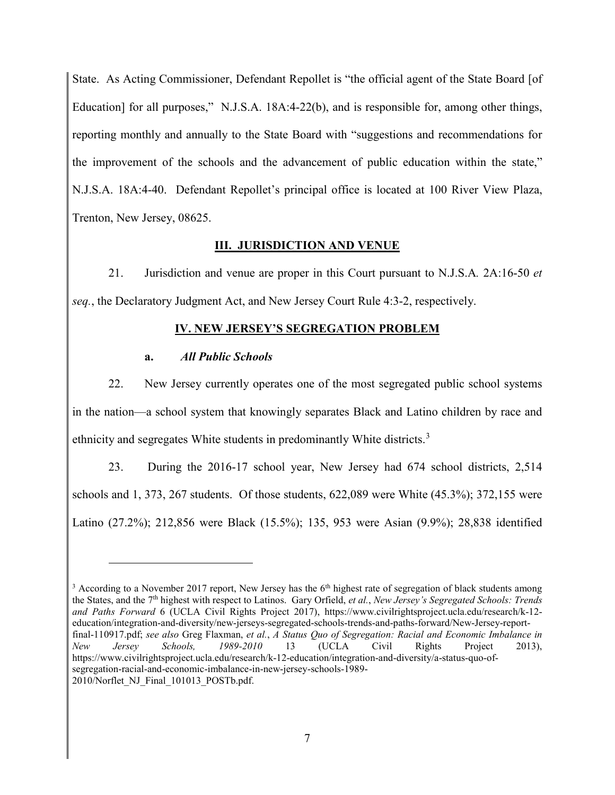State. As Acting Commissioner, Defendant Repollet is "the official agent of the State Board [of Education] for all purposes," N.J.S.A. 18A:4-22(b), and is responsible for, among other things, reporting monthly and annually to the State Board with "suggestions and recommendations for the improvement of the schools and the advancement of public education within the state," N.J.S.A. 18A:4-40. Defendant Repollet's principal office is located at 100 River View Plaza, Trenton, New Jersey, 08625.

# **III. JURISDICTION AND VENUE**

21. Jurisdiction and venue are proper in this Court pursuant to N.J.S.A*.* 2A:16-50 *et seq.*, the Declaratory Judgment Act, and New Jersey Court Rule 4:3-2, respectively.

## **IV. NEW JERSEY'S SEGREGATION PROBLEM**

## **a.** *All Public Schools*

 $\overline{a}$ 

22. New Jersey currently operates one of the most segregated public school systems in the nation—a school system that knowingly separates Black and Latino children by race and ethnicity and segregates White students in predominantly White districts.<sup>3</sup>

23. During the 2016-17 school year, New Jersey had 674 school districts, 2,514 schools and 1, 373, 267 students. Of those students, 622,089 were White (45.3%); 372,155 were Latino (27.2%); 212,856 were Black (15.5%); 135, 953 were Asian (9.9%); 28,838 identified

 $3$  According to a November 2017 report, New Jersey has the  $6<sup>th</sup>$  highest rate of segregation of black students among the States, and the 7th highest with respect to Latinos. Gary Orfield, *et al.*, *New Jersey's Segregated Schools: Trends and Paths Forward* 6 (UCLA Civil Rights Project 2017), https://www.civilrightsproject.ucla.edu/research/k-12 education/integration-and-diversity/new-jerseys-segregated-schools-trends-and-paths-forward/New-Jersey-reportfinal-110917.pdf; *see also* Greg Flaxman, *et al.*, *A Status Quo of Segregation: Racial and Economic Imbalance in New Jersey Schools, 1989-2010* 13 (UCLA Civil Rights Project 2013), https://www.civilrightsproject.ucla.edu/research/k-12-education/integration-and-diversity/a-status-quo-ofsegregation-racial-and-economic-imbalance-in-new-jersey-schools-1989- 2010/Norflet\_NJ\_Final\_101013\_POSTb.pdf.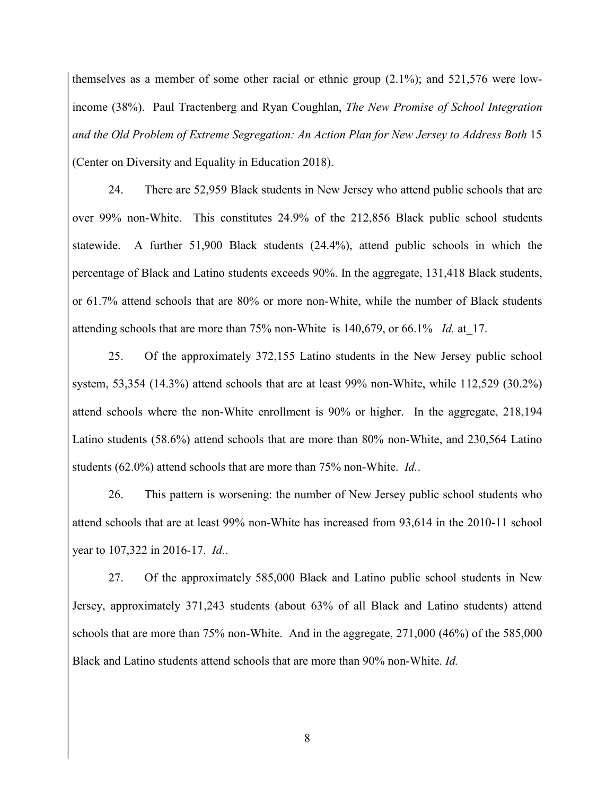themselves as a member of some other racial or ethnic group (2.1%); and 521,576 were lowincome (38%). Paul Tractenberg and Ryan Coughlan, *The New Promise of School Integration and the Old Problem of Extreme Segregation: An Action Plan for New Jersey to Address Both* 15 (Center on Diversity and Equality in Education 2018).

24. There are 52,959 Black students in New Jersey who attend public schools that are over 99% non-White. This constitutes 24.9% of the 212,856 Black public school students statewide. A further 51,900 Black students (24.4%), attend public schools in which the percentage of Black and Latino students exceeds 90%. In the aggregate, 131,418 Black students, or 61.7% attend schools that are 80% or more non-White, while the number of Black students attending schools that are more than 75% non-White is 140,679, or 66.1% *Id.* at\_17.

25. Of the approximately 372,155 Latino students in the New Jersey public school system, 53,354 (14.3%) attend schools that are at least 99% non-White, while 112,529 (30.2%) attend schools where the non-White enrollment is 90% or higher. In the aggregate, 218,194 Latino students (58.6%) attend schools that are more than 80% non-White, and 230,564 Latino students (62.0%) attend schools that are more than 75% non-White. *Id.*.

26. This pattern is worsening: the number of New Jersey public school students who attend schools that are at least 99% non-White has increased from 93,614 in the 2010-11 school year to 107,322 in 2016-17. *Id.*.

27. Of the approximately 585,000 Black and Latino public school students in New Jersey, approximately 371,243 students (about 63% of all Black and Latino students) attend schools that are more than 75% non-White. And in the aggregate, 271,000 (46%) of the 585,000 Black and Latino students attend schools that are more than 90% non-White. *Id.*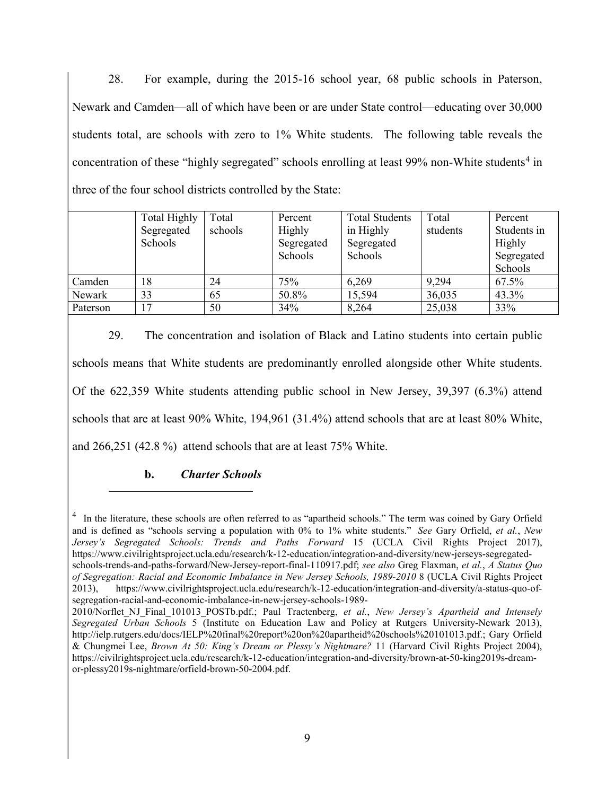28. For example, during the 2015-16 school year, 68 public schools in Paterson, Newark and Camden—all of which have been or are under State control—educating over 30,000 students total, are schools with zero to 1% White students. The following table reveals the concentration of these "highly segregated" schools enrolling at least  $99\%$  non-White students<sup>4</sup> in three of the four school districts controlled by the State:

|          | <b>Total Highly</b> | Total   | Percent    | <b>Total Students</b> | Total    | Percent     |
|----------|---------------------|---------|------------|-----------------------|----------|-------------|
|          | Segregated          | schools | Highly     | in Highly             | students | Students in |
|          | Schools             |         | Segregated | Segregated            |          | Highly      |
|          |                     |         | Schools    | Schools               |          | Segregated  |
|          |                     |         |            |                       |          | Schools     |
| Camden   | 18                  | 24      | 75%        | 6,269                 | 9,294    | 67.5%       |
| Newark   | 33                  | 65      | 50.8%      | 15.594                | 36,035   | 43.3%       |
| Paterson | .7                  | 50      | 34%        | 8,264                 | 25,038   | 33%         |

29. The concentration and isolation of Black and Latino students into certain public schools means that White students are predominantly enrolled alongside other White students. Of the 622,359 White students attending public school in New Jersey, 39,397 (6.3%) attend schools that are at least 90% White, 194,961 (31.4%) attend schools that are at least 80% White, and 266,251 (42.8 %) attend schools that are at least 75% White.

# **b.** *Charter Schools*

<sup>&</sup>lt;sup>4</sup> In the literature, these schools are often referred to as "apartheid schools." The term was coined by Gary Orfield and is defined as "schools serving a population with 0% to 1% white students." *See* Gary Orfield, *et al.*, *New Jersey's Segregated Schools: Trends and Paths Forward* 15 (UCLA Civil Rights Project 2017), https://www.civilrightsproject.ucla.edu/research/k-12-education/integration-and-diversity/new-jerseys-segregatedschools-trends-and-paths-forward/New-Jersey-report-final-110917.pdf; *see also* Greg Flaxman, *et al.*, *A Status Quo of Segregation: Racial and Economic Imbalance in New Jersey Schools, 1989-2010* 8 (UCLA Civil Rights Project 2013), https://www.civilrightsproject.ucla.edu/research/k-12-education/integration-and-diversity/a-status-quo-ofsegregation-racial-and-economic-imbalance-in-new-jersey-schools-1989-

<sup>2010/</sup>Norflet\_NJ\_Final\_101013\_POSTb.pdf.; Paul Tractenberg, *et al.*, *New Jersey's Apartheid and Intensely Segregated Urban Schools* 5 (Institute on Education Law and Policy at Rutgers University-Newark 2013), http://ielp.rutgers.edu/docs/IELP%20final%20report%20on%20apartheid%20schools%20101013.pdf.; Gary Orfield & Chungmei Lee, *Brown At 50: King's Dream or Plessy's Nightmare?* 11 (Harvard Civil Rights Project 2004), https://civilrightsproject.ucla.edu/research/k-12-education/integration-and-diversity/brown-at-50-king2019s-dreamor-plessy2019s-nightmare/orfield-brown-50-2004.pdf.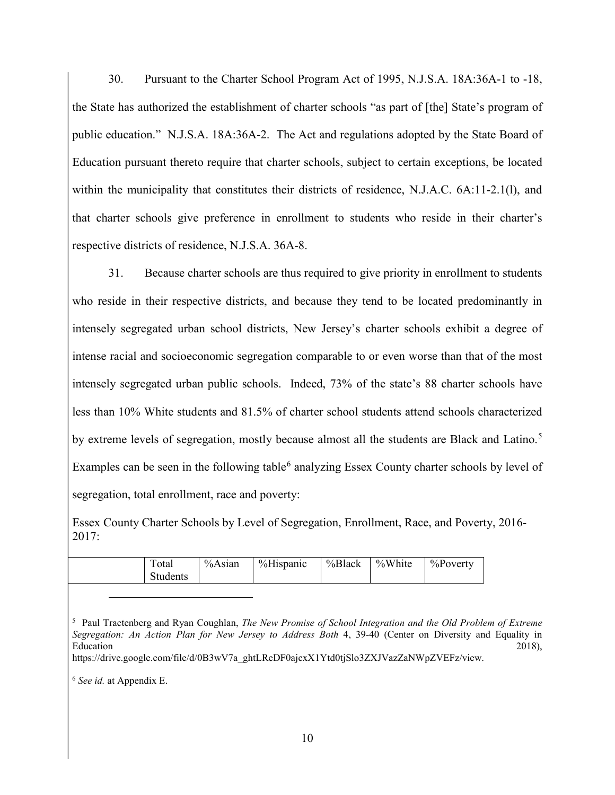30. Pursuant to the Charter School Program Act of 1995, N.J.S.A. 18A:36A-1 to -18, the State has authorized the establishment of charter schools "as part of [the] State's program of public education." N.J.S.A. 18A:36A-2. The Act and regulations adopted by the State Board of Education pursuant thereto require that charter schools, subject to certain exceptions, be located within the municipality that constitutes their districts of residence, N.J.A.C. 6A:11-2.1(1), and that charter schools give preference in enrollment to students who reside in their charter's respective districts of residence, N.J.S.A. 36A-8.

31. Because charter schools are thus required to give priority in enrollment to students who reside in their respective districts, and because they tend to be located predominantly in intensely segregated urban school districts, New Jersey's charter schools exhibit a degree of intense racial and socioeconomic segregation comparable to or even worse than that of the most intensely segregated urban public schools. Indeed, 73% of the state's 88 charter schools have less than 10% White students and 81.5% of charter school students attend schools characterized by extreme levels of segregation, mostly because almost all the students are Black and Latino.<sup>5</sup> Examples can be seen in the following table<sup>6</sup> analyzing Essex County charter schools by level of segregation, total enrollment, race and poverty:

Essex County Charter Schools by Level of Segregation, Enrollment, Race, and Poverty, 2016- 2017:

| $\mathbf{r}$<br>Fotal<br><b>Students</b> | %Asian | %Hispanic | %Black | %White | $\%$ Poverty |
|------------------------------------------|--------|-----------|--------|--------|--------------|
|------------------------------------------|--------|-----------|--------|--------|--------------|

<sup>5</sup> Paul Tractenberg and Ryan Coughlan, *The New Promise of School Integration and the Old Problem of Extreme Segregation: An Action Plan for New Jersey to Address Both* 4, 39-40 (Center on Diversity and Equality in  $\blacksquare$ Education 2018),  $2018$ ,  $\blacksquare$ 

<sup>6</sup> *See id.* at Appendix E.

https://drive.google.com/file/d/0B3wV7a\_ghtLReDF0ajcxX1Ytd0tjSlo3ZXJVazZaNWpZVEFz/view.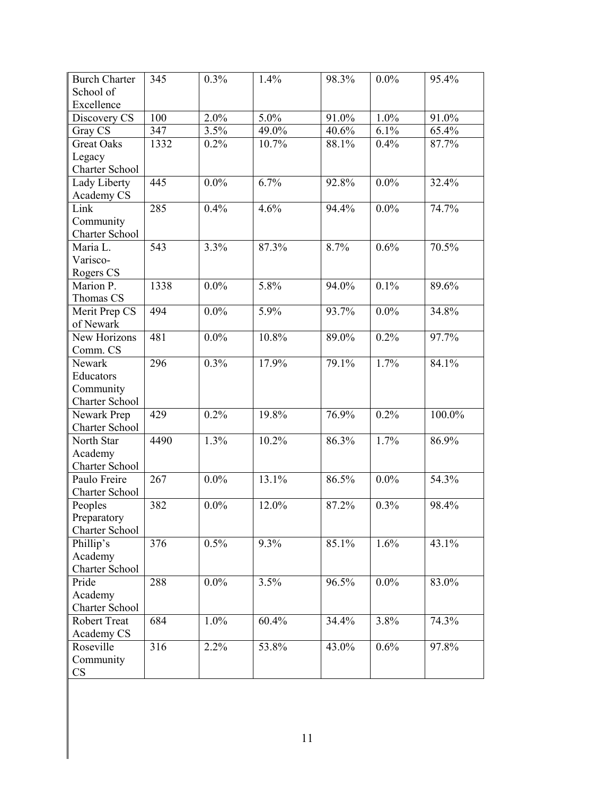| <b>Burch Charter</b>  |      |         |       |       |         |        |
|-----------------------|------|---------|-------|-------|---------|--------|
| School of             | 345  | 0.3%    | 1.4%  | 98.3% | $0.0\%$ | 95.4%  |
| Excellence            |      |         |       |       |         |        |
| Discovery CS          | 100  | 2.0%    | 5.0%  | 91.0% | 1.0%    | 91.0%  |
| Gray CS               | 347  | 3.5%    | 49.0% | 40.6% | 6.1%    | 65.4%  |
| <b>Great Oaks</b>     | 1332 | 0.2%    | 10.7% | 88.1% | 0.4%    | 87.7%  |
| Legacy                |      |         |       |       |         |        |
| Charter School        |      |         |       |       |         |        |
| Lady Liberty          | 445  | $0.0\%$ | 6.7%  | 92.8% | $0.0\%$ | 32.4%  |
| Academy CS            |      |         |       |       |         |        |
| Link                  | 285  | 0.4%    | 4.6%  | 94.4% | $0.0\%$ | 74.7%  |
| Community             |      |         |       |       |         |        |
| Charter School        |      |         |       |       |         |        |
| Maria L.              | 543  | 3.3%    | 87.3% | 8.7%  | 0.6%    | 70.5%  |
| Varisco-              |      |         |       |       |         |        |
| Rogers CS             |      |         |       |       |         |        |
| Marion P.             | 1338 | $0.0\%$ | 5.8%  | 94.0% | 0.1%    | 89.6%  |
| Thomas CS             |      |         |       |       |         |        |
| Merit Prep CS         | 494  | $0.0\%$ | 5.9%  | 93.7% | $0.0\%$ | 34.8%  |
|                       |      |         |       |       |         |        |
| of Newark             |      |         |       |       |         |        |
| New Horizons          | 481  | $0.0\%$ | 10.8% | 89.0% | 0.2%    | 97.7%  |
| Comm. CS              |      |         |       |       |         |        |
| Newark                | 296  | 0.3%    | 17.9% | 79.1% | 1.7%    | 84.1%  |
| Educators             |      |         |       |       |         |        |
| Community             |      |         |       |       |         |        |
| Charter School        |      |         |       |       |         |        |
| Newark Prep           | 429  | 0.2%    | 19.8% | 76.9% | 0.2%    | 100.0% |
| Charter School        |      |         |       |       |         |        |
| North Star            | 4490 | 1.3%    | 10.2% | 86.3% | 1.7%    | 86.9%  |
| Academy               |      |         |       |       |         |        |
| <b>Charter School</b> |      |         |       |       |         |        |
| Paulo Freire          | 267  | $0.0\%$ | 13.1% | 86.5% | $0.0\%$ | 54.3%  |
| Charter School        |      |         |       |       |         |        |
| Peoples               | 382  | $0.0\%$ | 12.0% | 87.2% | 0.3%    | 98.4%  |
| Preparatory           |      |         |       |       |         |        |
| Charter School        |      |         |       |       |         |        |
| Phillip's             | 376  | 0.5%    | 9.3%  | 85.1% | 1.6%    | 43.1%  |
| Academy               |      |         |       |       |         |        |
| Charter School        |      |         |       |       |         |        |
| Pride                 | 288  | $0.0\%$ | 3.5%  | 96.5% | $0.0\%$ | 83.0%  |
| Academy               |      |         |       |       |         |        |
| Charter School        |      |         |       |       |         |        |
| <b>Robert Treat</b>   | 684  | 1.0%    | 60.4% | 34.4% | 3.8%    | 74.3%  |
| Academy CS            |      |         |       |       |         |        |
|                       | 316  |         |       |       |         |        |
|                       |      | 2.2%    | 53.8% | 43.0% | 0.6%    | 97.8%  |
| Roseville             |      |         |       |       |         |        |
| Community<br>CS       |      |         |       |       |         |        |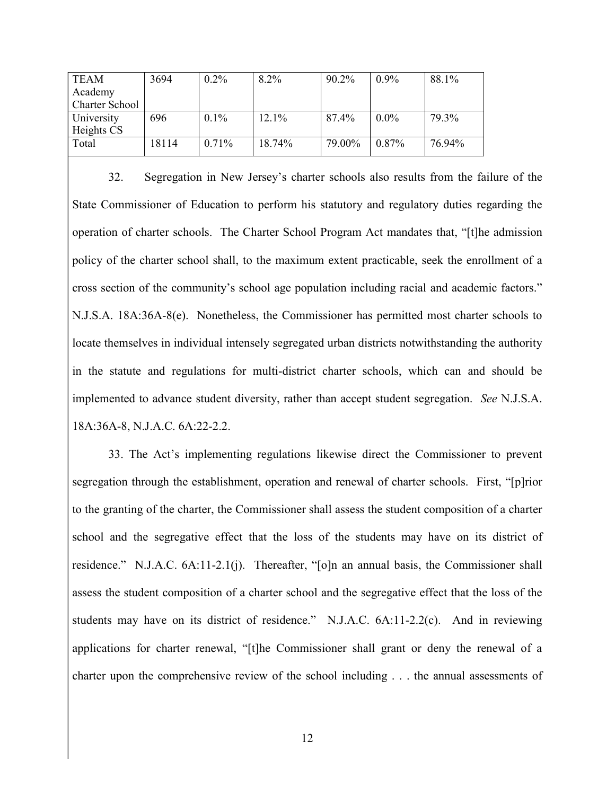| <b>TEAM</b>           | 3694  | $0.2\%$  | 8.2%     | $90.2\%$ | $0.9\%$  | 88.1%  |
|-----------------------|-------|----------|----------|----------|----------|--------|
| Academy               |       |          |          |          |          |        |
| <b>Charter School</b> |       |          |          |          |          |        |
| University            | 696   | 0.1%     | $12.1\%$ | 87.4%    | $0.0\%$  | 79.3%  |
| Heights CS            |       |          |          |          |          |        |
| Total                 | 18114 | $0.71\%$ | 18.74%   | 79.00%   | $0.87\%$ | 76.94% |
|                       |       |          |          |          |          |        |

32. Segregation in New Jersey's charter schools also results from the failure of the State Commissioner of Education to perform his statutory and regulatory duties regarding the operation of charter schools. The Charter School Program Act mandates that, "[t]he admission policy of the charter school shall, to the maximum extent practicable, seek the enrollment of a cross section of the community's school age population including racial and academic factors." N.J.S.A. 18A:36A-8(e). Nonetheless, the Commissioner has permitted most charter schools to locate themselves in individual intensely segregated urban districts notwithstanding the authority in the statute and regulations for multi-district charter schools, which can and should be implemented to advance student diversity, rather than accept student segregation. *See* N.J.S.A. 18A:36A-8, N.J.A.C. 6A:22-2.2.

33. The Act's implementing regulations likewise direct the Commissioner to prevent segregation through the establishment, operation and renewal of charter schools. First, "[p]rior to the granting of the charter, the Commissioner shall assess the student composition of a charter school and the segregative effect that the loss of the students may have on its district of residence." N.J.A.C. 6A:11-2.1(j). Thereafter, "[o]n an annual basis, the Commissioner shall assess the student composition of a charter school and the segregative effect that the loss of the students may have on its district of residence." N.J.A.C. 6A:11-2.2(c). And in reviewing applications for charter renewal, "[t]he Commissioner shall grant or deny the renewal of a charter upon the comprehensive review of the school including . . . the annual assessments of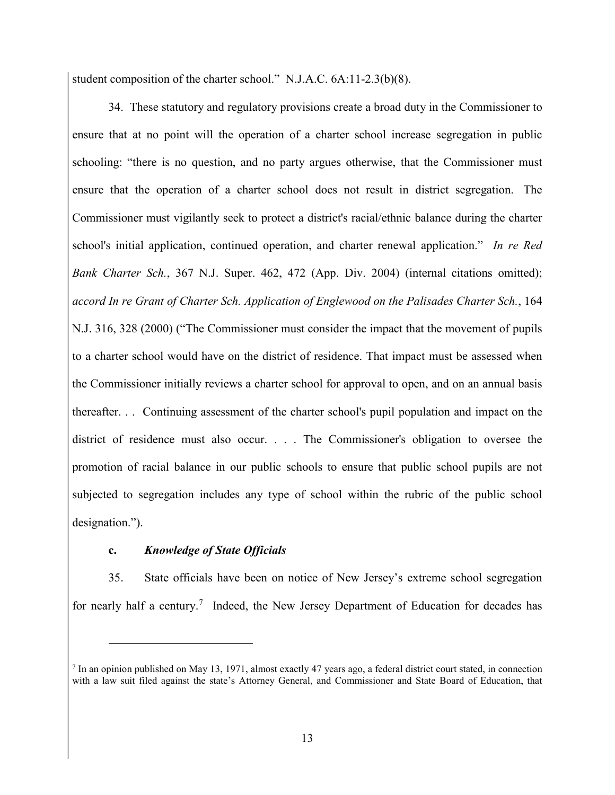student composition of the charter school." N.J.A.C. 6A:11-2.3(b)(8).

34. These statutory and regulatory provisions create a broad duty in the Commissioner to ensure that at no point will the operation of a charter school increase segregation in public schooling: "there is no question, and no party argues otherwise, that the Commissioner must ensure that the operation of a charter school does not result in district segregation. The Commissioner must vigilantly seek to protect a district's racial/ethnic balance during the charter school's initial application, continued operation, and charter renewal application." *In re Red Bank Charter Sch.*, 367 N.J. Super. 462, 472 (App. Div. 2004) (internal citations omitted); *accord In re Grant of Charter Sch. Application of Englewood on the Palisades Charter Sch.*, 164 N.J. 316, 328 (2000) ("The Commissioner must consider the impact that the movement of pupils to a charter school would have on the district of residence. That impact must be assessed when the Commissioner initially reviews a charter school for approval to open, and on an annual basis thereafter. . . Continuing assessment of the charter school's pupil population and impact on the district of residence must also occur. . . . The Commissioner's obligation to oversee the promotion of racial balance in our public schools to ensure that public school pupils are not subjected to segregation includes any type of school within the rubric of the public school designation.").

# **c.** *Knowledge of State Officials*

 $\overline{a}$ 

35. State officials have been on notice of New Jersey's extreme school segregation for nearly half a century.<sup>7</sup> Indeed, the New Jersey Department of Education for decades has

 $^7$  In an opinion published on May 13, 1971, almost exactly 47 years ago, a federal district court stated, in connection with a law suit filed against the state's Attorney General, and Commissioner and State Board of Education, that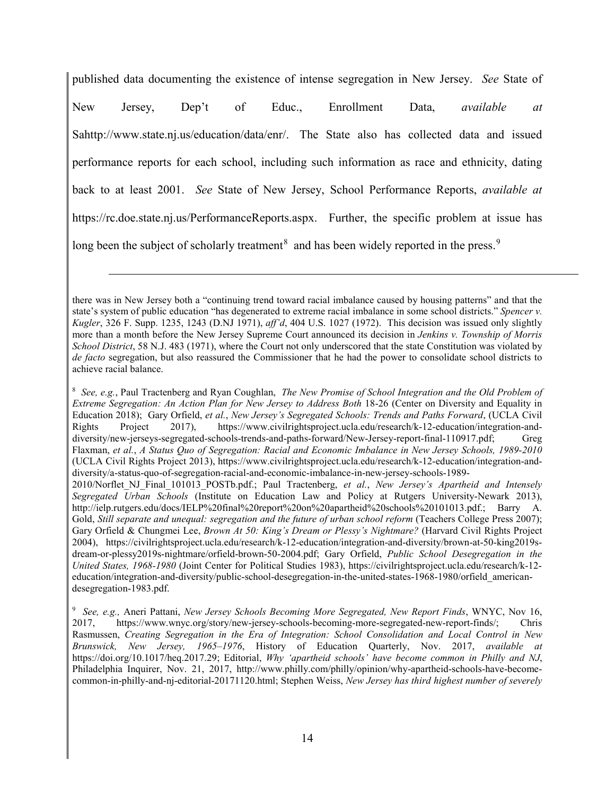published data documenting the existence of intense segregation in New Jersey. *See* State of New Jersey, Dep't of Educ., Enrollment Data, *available at* Sahttp://www.state.nj.us/education/data/enr/. The State also has collected data and issued performance reports for each school, including such information as race and ethnicity, dating back to at least 2001. *See* State of New Jersey, School Performance Reports, *available at* https://rc.doe.state.nj.us/PerformanceReports.aspx. Further, the specific problem at issue has long been the subject of scholarly treatment<sup>8</sup> and has been widely reported in the press.<sup>9</sup>

there was in New Jersey both a "continuing trend toward racial imbalance caused by housing patterns" and that the state's system of public education "has degenerated to extreme racial imbalance in some school districts." *Spencer v. Kugler*, 326 F. Supp. 1235, 1243 (D.NJ 1971), *aff'd*, 404 U.S. 1027 (1972). This decision was issued only slightly more than a month before the New Jersey Supreme Court announced its decision in *Jenkins v. Township of Morris School District*, 58 N.J. 483 (1971), where the Court not only underscored that the state Constitution was violated by *de facto* segregation, but also reassured the Commissioner that he had the power to consolidate school districts to achieve racial balance.

<sup>8</sup> *See, e.g.*, Paul Tractenberg and Ryan Coughlan, *The New Promise of School Integration and the Old Problem of Extreme Segregation: An Action Plan for New Jersey to Address Both* 18-26 (Center on Diversity and Equality in Education 2018); Gary Orfield, *et al.*, *New Jersey's Segregated Schools: Trends and Paths Forward*, (UCLA Civil Rights Project 2017), https://www.civilrightsproject.ucla.edu/research/k-12-education/integration-anddiversity/new-jerseys-segregated-schools-trends-and-paths-forward/New-Jersey-report-final-110917.pdf; Greg Flaxman, *et al.*, *A Status Quo of Segregation: Racial and Economic Imbalance in New Jersey Schools, 1989-2010* (UCLA Civil Rights Project 2013), https://www.civilrightsproject.ucla.edu/research/k-12-education/integration-anddiversity/a-status-quo-of-segregation-racial-and-economic-imbalance-in-new-jersey-schools-1989- 2010/Norflet\_NJ\_Final\_101013\_POSTb.pdf.; Paul Tractenberg, *et al.*, *New Jersey's Apartheid and Intensely* 

*Segregated Urban Schools* (Institute on Education Law and Policy at Rutgers University-Newark 2013), http://ielp.rutgers.edu/docs/IELP%20final%20report%20on%20apartheid%20schools%20101013.pdf.; Barry A. Gold, *Still separate and unequal: segregation and the future of urban school reform* (Teachers College Press 2007); Gary Orfield & Chungmei Lee, *Brown At 50: King's Dream or Plessy's Nightmare?* (Harvard Civil Rights Project 2004), https://civilrightsproject.ucla.edu/research/k-12-education/integration-and-diversity/brown-at-50-king2019sdream-or-plessy2019s-nightmare/orfield-brown-50-2004.pdf; Gary Orfield, *Public School Desegregation in the United States, 1968-1980* (Joint Center for Political Studies 1983), https://civilrightsproject.ucla.edu/research/k-12 education/integration-and-diversity/public-school-desegregation-in-the-united-states-1968-1980/orfield\_americandesegregation-1983.pdf.

<sup>9</sup> *See, e.g.,* Aneri Pattani, *New Jersey Schools Becoming More Segregated, New Report Finds*, WNYC, Nov 16, 2017, https://www.wnyc.org/story/new-jersey-schools-becoming-more-segregated-new-report-finds/; Chris Rasmussen, *Creating Segregation in the Era of Integration: School Consolidation and Local Control in New Brunswick, New Jersey, 1965–1976*, History of Education Quarterly, Nov. 2017, *available at* https://doi.org/10.1017/heq.2017.29; Editorial, *Why 'apartheid schools' have become common in Philly and NJ*, Philadelphia Inquirer, Nov. 21, 2017, http://www.philly.com/philly/opinion/why-apartheid-schools-have-becomecommon-in-philly-and-nj-editorial-20171120.html; Stephen Weiss, *New Jersey has third highest number of severely*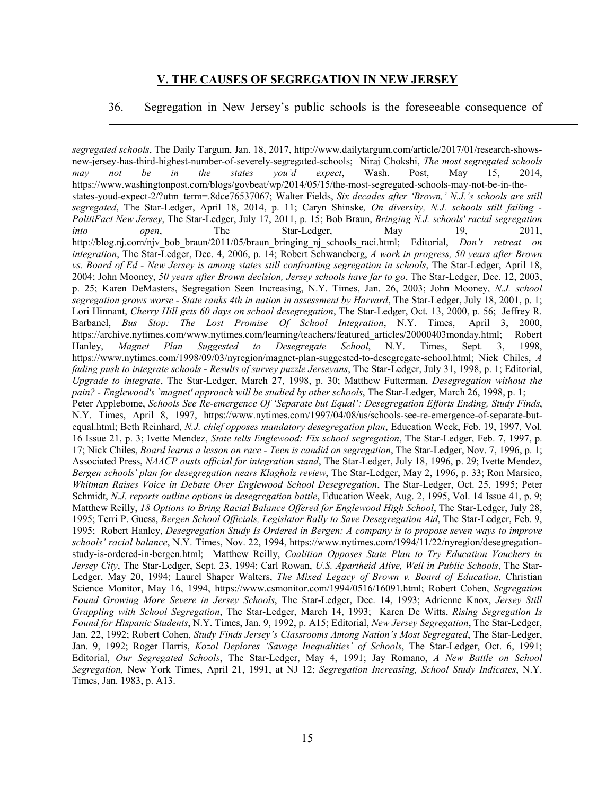### **V. THE CAUSES OF SEGREGATION IN NEW JERSEY**

 $\overline{a}$ 

#### 36. Segregation in New Jersey's public schools is the foreseeable consequence of

*segregated schools*, The Daily Targum, Jan. 18, 2017, http://www.dailytargum.com/article/2017/01/research-showsnew-jersey-has-third-highest-number-of-severely-segregated-schools; Niraj Chokshi, *The most segregated schools may not be in the states you'd expect*, Wash. Post, May 15, 2014, https://www.washingtonpost.com/blogs/govbeat/wp/2014/05/15/the-most-segregated-schools-may-not-be-in-thestates-youd-expect-2/?utm\_term=.8dce76537067; Walter Fields, *Six decades after 'Brown,' N.J.'s schools are still segregated*, The Star-Ledger, April 18, 2014, p. 11; Caryn Shinske*, On diversity, N.J. schools still failing - PolitiFact New Jersey*, The Star-Ledger, July 17, 2011, p. 15; Bob Braun, *Bringing N.J. schools' racial segregation into open*, The Star-Ledger, May 19, 2011, http://blog.nj.com/njv\_bob\_braun/2011/05/braun\_bringing\_nj\_schools\_raci.html; Editorial, *Don't retreat on integration*, The Star-Ledger, Dec. 4, 2006, p. 14; Robert Schwaneberg, *A work in progress, 50 years after Brown vs. Board of Ed - New Jersey is among states still confronting segregation in schools*, The Star-Ledger, April 18, 2004; John Mooney, *50 years after Brown decision, Jersey schools have far to go*, The Star-Ledger, Dec. 12, 2003, p. 25; Karen DeMasters, Segregation Seen Increasing, N.Y. Times, Jan. 26, 2003; John Mooney, *N.J. school segregation grows worse - State ranks 4th in nation in assessment by Harvard*, The Star-Ledger, July 18, 2001, p. 1; Lori Hinnant, *Cherry Hill gets 60 days on school desegregation*, The Star-Ledger, Oct. 13, 2000, p. 56; Jeffrey R. Barbanel, *Bus Stop: The Lost Promise Of School Integration*, N.Y. Times, April 3, 2000, https://archive.nytimes.com/www.nytimes.com/learning/teachers/featured\_articles/20000403monday.html; Robert Hanley, *Magnet Plan Suggested to Desegregate School*, N.Y. Times, Sept. 3, 1998, https://www.nytimes.com/1998/09/03/nyregion/magnet-plan-suggested-to-desegregate-school.html; Nick Chiles, *A fading push to integrate schools - Results of survey puzzle Jerseyans*, The Star-Ledger, July 31, 1998, p. 1; Editorial, *Upgrade to integrate*, The Star-Ledger, March 27, 1998, p. 30; Matthew Futterman, *Desegregation without the pain? - Englewood's `magnet' approach will be studied by other schools*, The Star-Ledger, March 26, 1998, p. 1; Peter Applebome, *Schools See Re-emergence Of 'Separate but Equal': Desegregation Efforts Ending, Study Finds*, N.Y. Times, April 8, 1997, https://www.nytimes.com/1997/04/08/us/schools-see-re-emergence-of-separate-butequal.html; Beth Reinhard, *N.J. chief opposes mandatory desegregation plan*, Education Week, Feb. 19, 1997, Vol. 16 Issue 21, p. 3; Ivette Mendez, *State tells Englewood: Fix school segregation*, The Star-Ledger, Feb. 7, 1997, p. 17; Nick Chiles, *Board learns a lesson on race - Teen is candid on segregation*, The Star-Ledger, Nov. 7, 1996, p. 1; Associated Press, *NAACP ousts official for integration stand*, The Star-Ledger, July 18, 1996, p. 29; Ivette Mendez, *Bergen schools' plan for desegregation nears Klagholz review*, The Star-Ledger, May 2, 1996, p. 33; Ron Marsico, *Whitman Raises Voice in Debate Over Englewood School Desegregation*, The Star-Ledger, Oct. 25, 1995; Peter Schmidt, *N.J. reports outline options in desegregation battle*, Education Week, Aug. 2, 1995, Vol. 14 Issue 41, p. 9; Matthew Reilly, *18 Options to Bring Racial Balance Offered for Englewood High School*, The Star-Ledger, July 28, 1995; Terri P. Guess, *Bergen School Officials, Legislator Rally to Save Desegregation Aid*, The Star-Ledger, Feb. 9, 1995; Robert Hanley, *Desegregation Study Is Ordered in Bergen: A company is to propose seven ways to improve schools' racial balance*, N.Y. Times, Nov. 22, 1994, https://www.nytimes.com/1994/11/22/nyregion/desegregationstudy-is-ordered-in-bergen.html; Matthew Reilly, *Coalition Opposes State Plan to Try Education Vouchers in Jersey City*, The Star-Ledger, Sept. 23, 1994; Carl Rowan, *U.S. Apartheid Alive, Well in Public Schools*, The Star-Ledger, May 20, 1994; Laurel Shaper Walters, *The Mixed Legacy of Brown v. Board of Education*, Christian Science Monitor, May 16, 1994, https://www.csmonitor.com/1994/0516/16091.html; Robert Cohen, *Segregation Found Growing More Severe in Jersey Schools*, The Star-Ledger, Dec. 14, 1993; Adrienne Knox, *Jersey Still Grappling with School Segregation*, The Star-Ledger, March 14, 1993; Karen De Witts, *Rising Segregation Is Found for Hispanic Students*, N.Y. Times, Jan. 9, 1992, p. A15; Editorial, *New Jersey Segregation*, The Star-Ledger, Jan. 22, 1992; Robert Cohen, *Study Finds Jersey's Classrooms Among Nation's Most Segregated*, The Star-Ledger, Jan. 9, 1992; Roger Harris, *Kozol Deplores 'Savage Inequalities' of Schools*, The Star-Ledger, Oct. 6, 1991; Editorial, *Our Segregated Schools*, The Star-Ledger, May 4, 1991; Jay Romano, *A New Battle on School Segregation,* New York Times, April 21, 1991, at NJ 12; *Segregation Increasing, School Study Indicates*, N.Y. Times, Jan. 1983, p. A13.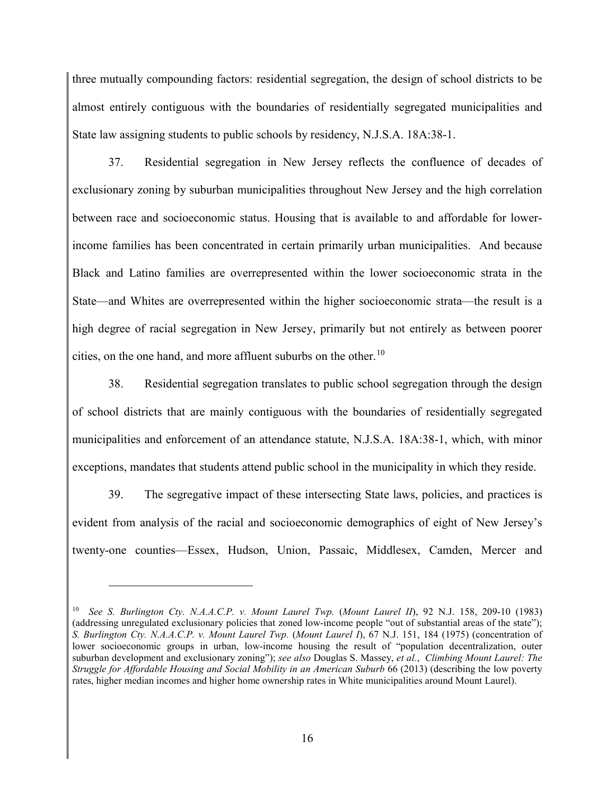three mutually compounding factors: residential segregation, the design of school districts to be almost entirely contiguous with the boundaries of residentially segregated municipalities and State law assigning students to public schools by residency, N.J.S.A. 18A:38-1.

37. Residential segregation in New Jersey reflects the confluence of decades of exclusionary zoning by suburban municipalities throughout New Jersey and the high correlation between race and socioeconomic status. Housing that is available to and affordable for lowerincome families has been concentrated in certain primarily urban municipalities. And because Black and Latino families are overrepresented within the lower socioeconomic strata in the State—and Whites are overrepresented within the higher socioeconomic strata—the result is a high degree of racial segregation in New Jersey, primarily but not entirely as between poorer cities, on the one hand, and more affluent suburbs on the other. 10

38. Residential segregation translates to public school segregation through the design of school districts that are mainly contiguous with the boundaries of residentially segregated municipalities and enforcement of an attendance statute, N.J.S.A. 18A:38-1, which, with minor exceptions, mandates that students attend public school in the municipality in which they reside.

39. The segregative impact of these intersecting State laws, policies, and practices is evident from analysis of the racial and socioeconomic demographics of eight of New Jersey's twenty-one counties—Essex, Hudson, Union, Passaic, Middlesex, Camden, Mercer and

<sup>10</sup> *See S. Burlington Cty. N.A.A.C.P. v. Mount Laurel Twp.* (*Mount Laurel II*), 92 N.J. 158, 209-10 (1983) (addressing unregulated exclusionary policies that zoned low-income people "out of substantial areas of the state"); *S. Burlington Cty. N.A.A.C.P. v. Mount Laurel Twp.* (*Mount Laurel I*), 67 N.J. 151, 184 (1975) (concentration of lower socioeconomic groups in urban, low-income housing the result of "population decentralization, outer suburban development and exclusionary zoning"); *see also* Douglas S. Massey, *et al.*, *Climbing Mount Laurel: The Struggle for Affordable Housing and Social Mobility in an American Suburb* 66 (2013) (describing the low poverty rates, higher median incomes and higher home ownership rates in White municipalities around Mount Laurel).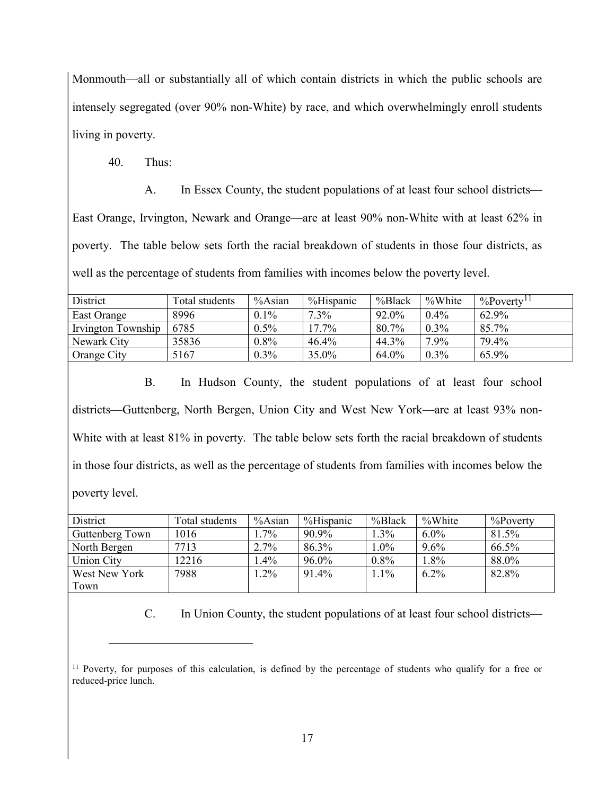Monmouth—all or substantially all of which contain districts in which the public schools are intensely segregated (over 90% non-White) by race, and which overwhelmingly enroll students living in poverty.

40. Thus:

 $\overline{a}$ 

A. In Essex County, the student populations of at least four school districts— East Orange, Irvington, Newark and Orange—are at least 90% non-White with at least 62% in poverty. The table below sets forth the racial breakdown of students in those four districts, as well as the percentage of students from families with incomes below the poverty level.

| District           | Total students | $%$ Asian | %Hispanic | %Black | %White  | $\%$ Poverty <sup>11</sup> |
|--------------------|----------------|-----------|-----------|--------|---------|----------------------------|
| East Orange        | 8996           | $0.1\%$   | $7.3\%$   | 92.0%  | $0.4\%$ | 62.9%                      |
| Irvington Township | 6785           | $0.5\%$   | $17.7\%$  | 80.7%  | $0.3\%$ | 85.7%                      |
| Newark City        | 35836          | $0.8\%$   | 46.4%     | 44.3%  | $7.9\%$ | 79.4%                      |
| Orange City        | 5167           | $0.3\%$   | $35.0\%$  | 64.0%  | $0.3\%$ | 65.9%                      |

B. In Hudson County, the student populations of at least four school districts—Guttenberg, North Bergen, Union City and West New York—are at least 93% non-White with at least 81% in poverty. The table below sets forth the racial breakdown of students in those four districts, as well as the percentage of students from families with incomes below the poverty level.

| District          | Total students | $%$ Asian | %Hispanic | %Black  | %White  | $%$ Poverty |
|-------------------|----------------|-----------|-----------|---------|---------|-------------|
| Guttenberg Town   | 1016           | $.7\%$    | 90.9%     | $1.3\%$ | $6.0\%$ | 81.5%       |
| North Bergen      | 7713           | 2.7%      | 86.3%     | $1.0\%$ | 9.6%    | 66.5%       |
| <b>Union City</b> | 12216          | $.4\%$    | 96.0%     | $0.8\%$ | $1.8\%$ | 88.0%       |
| West New York     | 7988           | $.2\%$    | 91.4%     | $1.1\%$ | $6.2\%$ | 82.8%       |
| Town              |                |           |           |         |         |             |

C. In Union County, the student populations of at least four school districts—

<sup>&</sup>lt;sup>11</sup> Poverty, for purposes of this calculation, is defined by the percentage of students who qualify for a free or reduced-price lunch.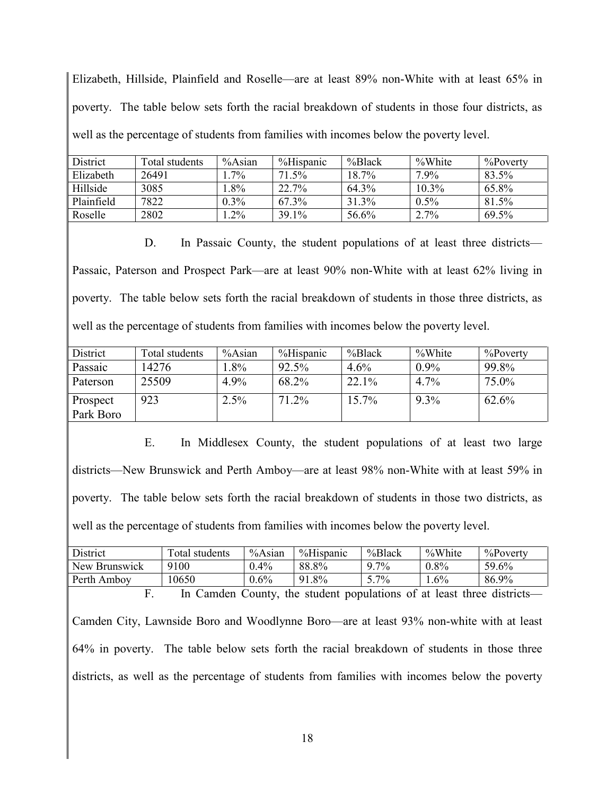Elizabeth, Hillside, Plainfield and Roselle—are at least 89% non-White with at least 65% in poverty. The table below sets forth the racial breakdown of students in those four districts, as well as the percentage of students from families with incomes below the poverty level.

| District   | Total students | $%$ Asian | %Hispanic | %Black   | %White   | $\%$ Poverty |
|------------|----------------|-----------|-----------|----------|----------|--------------|
| Elizabeth  | 26491          | $7\%$     | $71.5\%$  | $18.7\%$ | $7.9\%$  | 83.5%        |
| Hillside   | 3085           | . .8%     | 22.7%     | 64.3%    | $10.3\%$ | 65.8%        |
| Plainfield | 7822           | $0.3\%$   | 67 3%     | 31.3%    | $0.5\%$  | 81.5%        |
| Roselle    | 2802           | $.2\%$    | 39.1%     | 56.6%    | 2.7%     | 69.5%        |

D. In Passaic County, the student populations of at least three districts— Passaic, Paterson and Prospect Park—are at least 90% non-White with at least 62% living in poverty. The table below sets forth the racial breakdown of students in those three districts, as well as the percentage of students from families with incomes below the poverty level.

| District  | Total students | %Asian | %Hispanic | %Black | %White  | $\%$ Poverty |
|-----------|----------------|--------|-----------|--------|---------|--------------|
| Passaic   | 14276          | .8%    | 92.5%     | 4.6%   | $0.9\%$ | 99.8%        |
| Paterson  | 25509          | 4.9%   | 68.2%     | 22.1%  | $4.7\%$ | 75.0%        |
| Prospect  | 923            | 2.5%   | 71.2%     | 15.7%  | 9.3%    | 62.6%        |
| Park Boro |                |        |           |        |         |              |

E. In Middlesex County, the student populations of at least two large districts—New Brunswick and Perth Amboy—are at least 98% non-White with at least 59% in poverty. The table below sets forth the racial breakdown of students in those two districts, as well as the percentage of students from families with incomes below the poverty level.

| District                                                                                      | Total students | $%$ Asian | %Hispanic | %Black  | %White  | %Poverty |  |  |  |
|-----------------------------------------------------------------------------------------------|----------------|-----------|-----------|---------|---------|----------|--|--|--|
| New Brunswick                                                                                 | 9100           | $0.4\%$   | 88.8%     | $9.7\%$ | $0.8\%$ | 59.6%    |  |  |  |
| Perth Amboy                                                                                   | 10650          | $0.6\%$   | 91.8%     | $5.7\%$ | $1.6\%$ | 86.9%    |  |  |  |
| In Camden County, the student populations of at least three districts—<br>$F_{\cdot}$         |                |           |           |         |         |          |  |  |  |
| Camden City, Lawnside Boro and Woodlynne Boro—are at least 93% non-white with at least        |                |           |           |         |         |          |  |  |  |
| 64% in poverty. The table below sets forth the racial breakdown of students in those three    |                |           |           |         |         |          |  |  |  |
| districts, as well as the percentage of students from families with incomes below the poverty |                |           |           |         |         |          |  |  |  |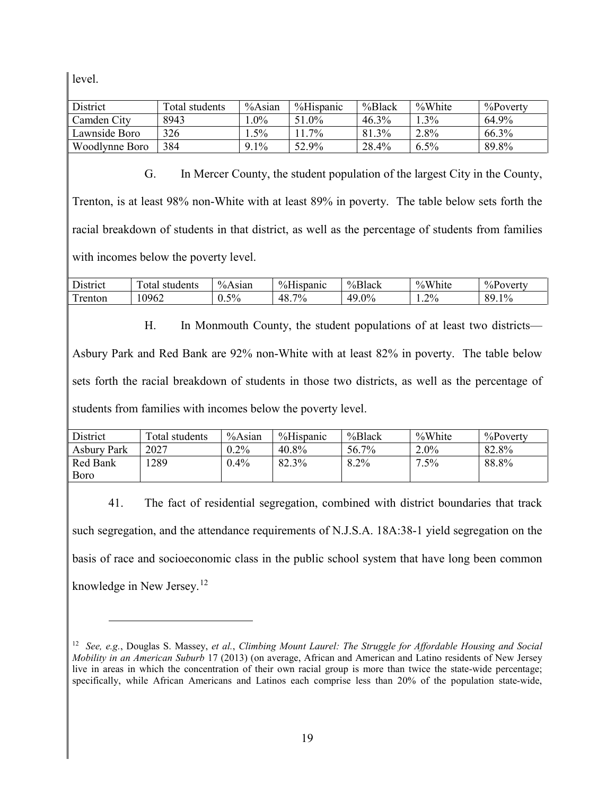level.

 $\overline{a}$ 

| District       | Total students | $%$ Asian | %Hispanic | %Black   | %White  | $\%$ Poverty |
|----------------|----------------|-----------|-----------|----------|---------|--------------|
| Camden City    | 8943           | $.0\%$    | 51.0%     | $46.3\%$ | 3%      | 64.9%        |
| Lawnside Boro  | 326            | $.5\%$    | $7\%$     | 81.3%    | 2.8%    | 66.3%        |
| Woodlynne Boro | 384            | $9.1\%$   | 52.9%     | 28.4%    | $6.5\%$ | 89.8%        |

G. In Mercer County, the student population of the largest City in the County, Trenton, is at least 98% non-White with at least 89% in poverty. The table below sets forth the racial breakdown of students in that district, as well as the percentage of students from families with incomes below the poverty level.

| $\mathbf{r}$ .<br>District | $\mathbf{r}$<br>students<br>otal | $%$ Asian | $0/$ LI:<br>Hispanic<br>″o⊓l. | %Black                      | %White<br>$\Omega$ | $%$ Poverty           |
|----------------------------|----------------------------------|-----------|-------------------------------|-----------------------------|--------------------|-----------------------|
| $\mathbf{r}$<br>renton     | .0962                            | 5%<br>∪.∪ | $7\%$<br>-48.                 | 49<br>9%<br>$\cdot$ $\circ$ | $4.2\%$            | Q۵<br>10 <sub>4</sub> |

H. In Monmouth County, the student populations of at least two districts— Asbury Park and Red Bank are 92% non-White with at least 82% in poverty. The table below sets forth the racial breakdown of students in those two districts, as well as the percentage of students from families with incomes below the poverty level.

| District           | Total students | %Asian  | %Hispanic | %Black  | %White  | $\%$ Poverty |
|--------------------|----------------|---------|-----------|---------|---------|--------------|
| <b>Asbury Park</b> | 2027           | $0.2\%$ | 40.8%     | 56.7%   | $2.0\%$ | 82.8%        |
| Red Bank           | 1289           | $0.4\%$ | 82.3%     | $8.2\%$ | 7.5%    | 88.8%        |
| Boro               |                |         |           |         |         |              |

41. The fact of residential segregation, combined with district boundaries that track such segregation, and the attendance requirements of N.J.S.A. 18A:38-1 yield segregation on the basis of race and socioeconomic class in the public school system that have long been common knowledge in New Jersey.<sup>12</sup>

<sup>12</sup> *See, e.g.*, Douglas S. Massey, *et al.*, *Climbing Mount Laurel: The Struggle for Affordable Housing and Social Mobility in an American Suburb* 17 (2013) (on average, African and American and Latino residents of New Jersey live in areas in which the concentration of their own racial group is more than twice the state-wide percentage; specifically, while African Americans and Latinos each comprise less than 20% of the population state-wide,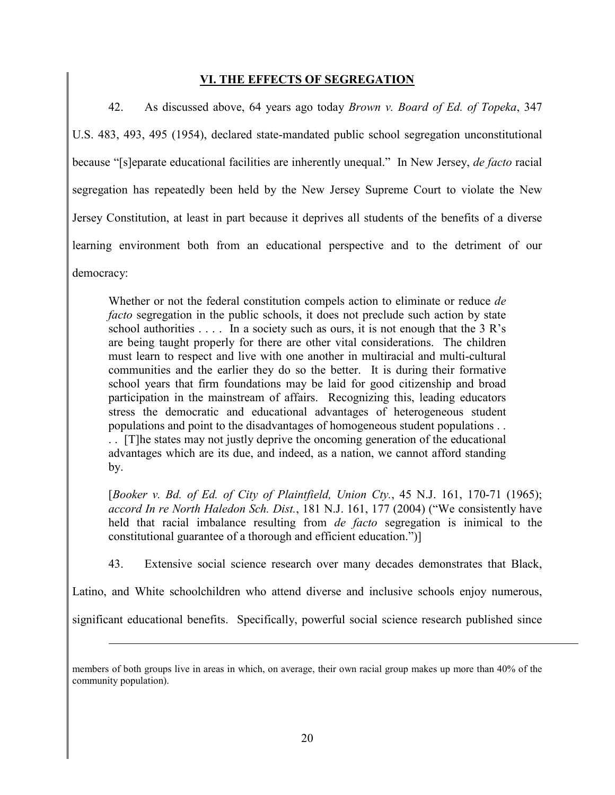# **VI. THE EFFECTS OF SEGREGATION**

42. As discussed above, 64 years ago today *Brown v. Board of Ed. of Topeka*, 347 U.S. 483, 493, 495 (1954), declared state-mandated public school segregation unconstitutional because "[s]eparate educational facilities are inherently unequal." In New Jersey, *de facto* racial segregation has repeatedly been held by the New Jersey Supreme Court to violate the New Jersey Constitution, at least in part because it deprives all students of the benefits of a diverse learning environment both from an educational perspective and to the detriment of our democracy:

Whether or not the federal constitution compels action to eliminate or reduce *de facto* segregation in the public schools, it does not preclude such action by state school authorities  $\dots$ . In a society such as ours, it is not enough that the 3 R's are being taught properly for there are other vital considerations. The children must learn to respect and live with one another in multiracial and multi-cultural communities and the earlier they do so the better. It is during their formative school years that firm foundations may be laid for good citizenship and broad participation in the mainstream of affairs. Recognizing this, leading educators stress the democratic and educational advantages of heterogeneous student populations and point to the disadvantages of homogeneous student populations . . . . [T]he states may not justly deprive the oncoming generation of the educational advantages which are its due, and indeed, as a nation, we cannot afford standing by.

[*Booker v. Bd. of Ed. of City of Plaintfield, Union Cty.*, 45 N.J. 161, 170-71 (1965); *accord In re North Haledon Sch. Dist.*, 181 N.J. 161, 177 (2004) ("We consistently have held that racial imbalance resulting from *de facto* segregation is inimical to the constitutional guarantee of a thorough and efficient education.")]

43. Extensive social science research over many decades demonstrates that Black,

Latino, and White schoolchildren who attend diverse and inclusive schools enjoy numerous,

significant educational benefits. Specifically, powerful social science research published since

members of both groups live in areas in which, on average, their own racial group makes up more than 40% of the community population).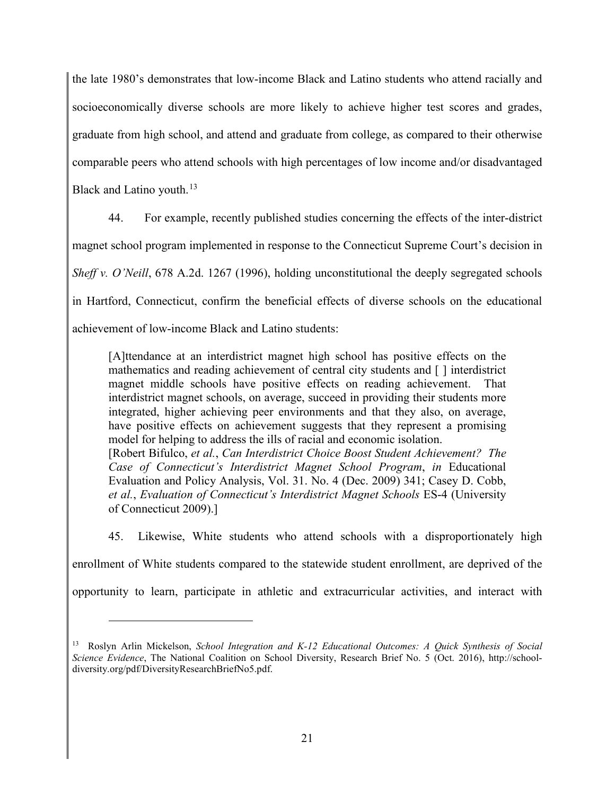the late 1980's demonstrates that low-income Black and Latino students who attend racially and socioeconomically diverse schools are more likely to achieve higher test scores and grades, graduate from high school, and attend and graduate from college, as compared to their otherwise comparable peers who attend schools with high percentages of low income and/or disadvantaged Black and Latino youth.<sup>13</sup>

44. For example, recently published studies concerning the effects of the inter-district magnet school program implemented in response to the Connecticut Supreme Court's decision in *Sheff v. O'Neill*, 678 A.2d. 1267 (1996), holding unconstitutional the deeply segregated schools in Hartford, Connecticut, confirm the beneficial effects of diverse schools on the educational achievement of low-income Black and Latino students:

[A]ttendance at an interdistrict magnet high school has positive effects on the mathematics and reading achievement of central city students and [ ] interdistrict magnet middle schools have positive effects on reading achievement. That interdistrict magnet schools, on average, succeed in providing their students more integrated, higher achieving peer environments and that they also, on average, have positive effects on achievement suggests that they represent a promising model for helping to address the ills of racial and economic isolation. [Robert Bifulco, *et al.*, *Can Interdistrict Choice Boost Student Achievement? The Case of Connecticut's Interdistrict Magnet School Program*, *in* Educational Evaluation and Policy Analysis, Vol. 31. No. 4 (Dec. 2009) 341; Casey D. Cobb, *et al.*, *Evaluation of Connecticut's Interdistrict Magnet Schools* ES-4 (University of Connecticut 2009).]

45. Likewise, White students who attend schools with a disproportionately high enrollment of White students compared to the statewide student enrollment, are deprived of the opportunity to learn, participate in athletic and extracurricular activities, and interact with

<sup>13</sup> Roslyn Arlin Mickelson, *School Integration and K-12 Educational Outcomes: A Quick Synthesis of Social Science Evidence*, The National Coalition on School Diversity, Research Brief No. 5 (Oct. 2016), http://schooldiversity.org/pdf/DiversityResearchBriefNo5.pdf.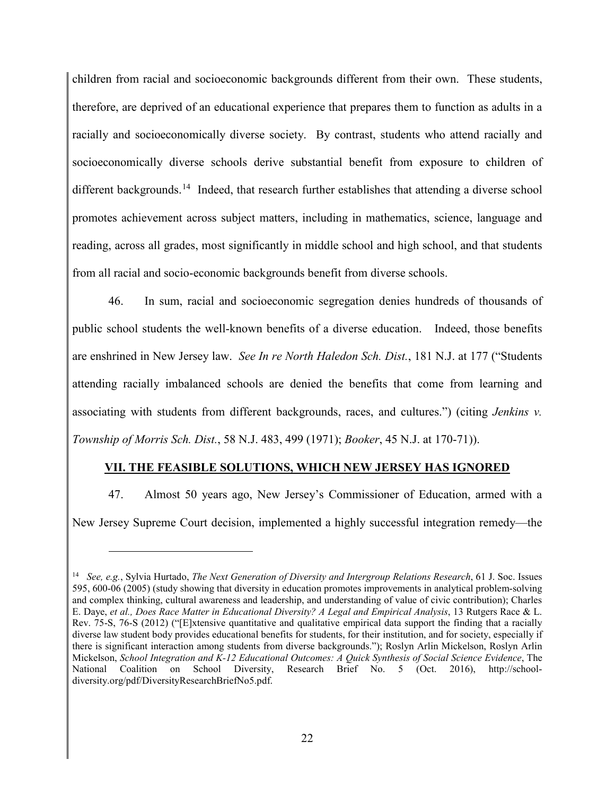children from racial and socioeconomic backgrounds different from their own. These students, therefore, are deprived of an educational experience that prepares them to function as adults in a racially and socioeconomically diverse society. By contrast, students who attend racially and socioeconomically diverse schools derive substantial benefit from exposure to children of different backgrounds.<sup>14</sup> Indeed, that research further establishes that attending a diverse school promotes achievement across subject matters, including in mathematics, science, language and reading, across all grades, most significantly in middle school and high school, and that students from all racial and socio-economic backgrounds benefit from diverse schools.

46. In sum, racial and socioeconomic segregation denies hundreds of thousands of public school students the well-known benefits of a diverse education. Indeed, those benefits are enshrined in New Jersey law. *See In re North Haledon Sch. Dist.*, 181 N.J. at 177 ("Students attending racially imbalanced schools are denied the benefits that come from learning and associating with students from different backgrounds, races, and cultures.") (citing *Jenkins v. Township of Morris Sch. Dist.*, 58 N.J. 483, 499 (1971); *Booker*, 45 N.J. at 170-71)).

# **VII. THE FEASIBLE SOLUTIONS, WHICH NEW JERSEY HAS IGNORED**

47. Almost 50 years ago, New Jersey's Commissioner of Education, armed with a New Jersey Supreme Court decision, implemented a highly successful integration remedy—the

<sup>14</sup> *See, e.g.*, Sylvia Hurtado, *The Next Generation of Diversity and Intergroup Relations Research*, 61 J. Soc. Issues 595, 600-06 (2005) (study showing that diversity in education promotes improvements in analytical problem-solving and complex thinking, cultural awareness and leadership, and understanding of value of civic contribution); Charles E. Daye, *et al., Does Race Matter in Educational Diversity? A Legal and Empirical Analysis*, 13 Rutgers Race & L. Rev. 75-S, 76-S (2012) ("[E]xtensive quantitative and qualitative empirical data support the finding that a racially diverse law student body provides educational benefits for students, for their institution, and for society, especially if there is significant interaction among students from diverse backgrounds."); Roslyn Arlin Mickelson, Roslyn Arlin Mickelson, *School Integration and K-12 Educational Outcomes: A Quick Synthesis of Social Science Evidence*, The National Coalition on School Diversity, Research Brief No. 5 (Oct. 2016), http://schooldiversity.org/pdf/DiversityResearchBriefNo5.pdf.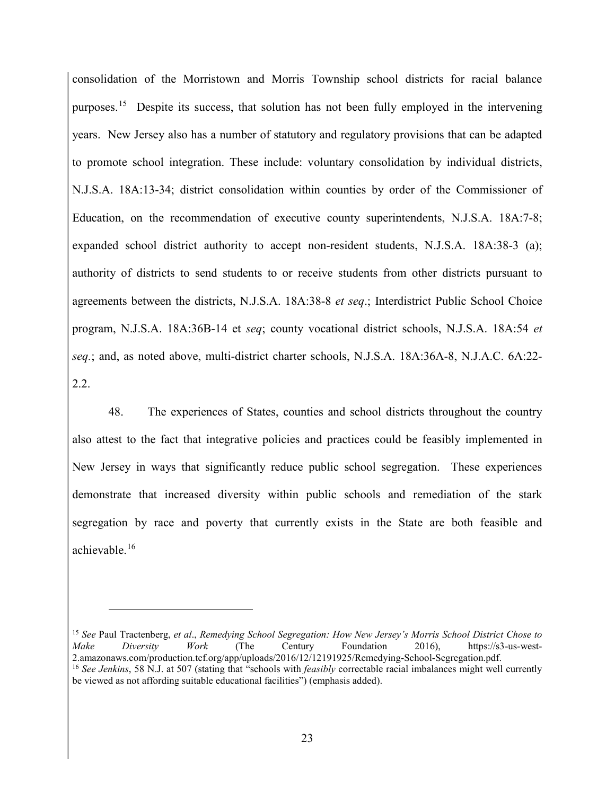consolidation of the Morristown and Morris Township school districts for racial balance purposes.<sup>15</sup> Despite its success, that solution has not been fully employed in the intervening years. New Jersey also has a number of statutory and regulatory provisions that can be adapted to promote school integration. These include: voluntary consolidation by individual districts, N.J.S.A. 18A:13-34; district consolidation within counties by order of the Commissioner of Education, on the recommendation of executive county superintendents, N.J.S.A. 18A:7-8; expanded school district authority to accept non-resident students, N.J.S.A. 18A:38-3 (a); authority of districts to send students to or receive students from other districts pursuant to agreements between the districts, N.J.S.A. 18A:38-8 *et seq*.; Interdistrict Public School Choice program, N.J.S.A. 18A:36B-14 et *seq*; county vocational district schools, N.J.S.A. 18A:54 *et seq.*; and, as noted above, multi-district charter schools, N.J.S.A. 18A:36A-8, N.J.A.C. 6A:22- 2.2.

48. The experiences of States, counties and school districts throughout the country also attest to the fact that integrative policies and practices could be feasibly implemented in New Jersey in ways that significantly reduce public school segregation. These experiences demonstrate that increased diversity within public schools and remediation of the stark segregation by race and poverty that currently exists in the State are both feasible and achievable.16

<sup>15</sup> *See* Paul Tractenberg, *et al*., *Remedying School Segregation: How New Jersey's Morris School District Chose to Make Diversity Work* (The Century Foundation 2016), https://s3-us-west-2.amazonaws.com/production.tcf.org/app/uploads/2016/12/12191925/Remedying-School-Segregation.pdf. <sup>16</sup> See Jenkins, 58 N.J. at 507 (stating that "schools with *feasibly* correctable racial imbalances might well currently be viewed as not affording suitable educational facilities") (emphasis added).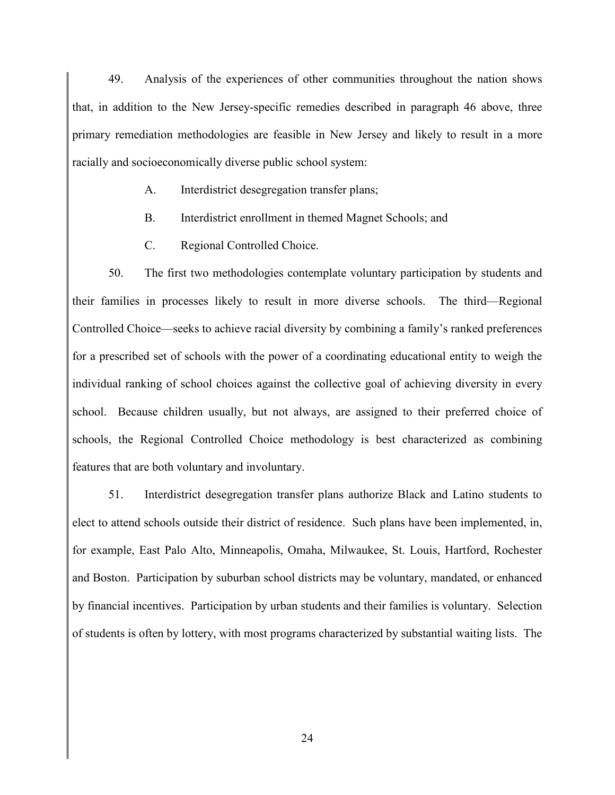49. Analysis of the experiences of other communities throughout the nation shows that, in addition to the New Jersey-specific remedies described in paragraph 46 above, three primary remediation methodologies are feasible in New Jersey and likely to result in a more racially and socioeconomically diverse public school system:

- A. Interdistrict desegregation transfer plans;
- B. Interdistrict enrollment in themed Magnet Schools; and
- C. Regional Controlled Choice.

50. The first two methodologies contemplate voluntary participation by students and their families in processes likely to result in more diverse schools. The third—Regional Controlled Choice—seeks to achieve racial diversity by combining a family's ranked preferences for a prescribed set of schools with the power of a coordinating educational entity to weigh the individual ranking of school choices against the collective goal of achieving diversity in every school. Because children usually, but not always, are assigned to their preferred choice of schools, the Regional Controlled Choice methodology is best characterized as combining features that are both voluntary and involuntary.

51. Interdistrict desegregation transfer plans authorize Black and Latino students to elect to attend schools outside their district of residence. Such plans have been implemented, in, for example, East Palo Alto, Minneapolis, Omaha, Milwaukee, St. Louis, Hartford, Rochester and Boston. Participation by suburban school districts may be voluntary, mandated, or enhanced by financial incentives. Participation by urban students and their families is voluntary. Selection of students is often by lottery, with most programs characterized by substantial waiting lists. The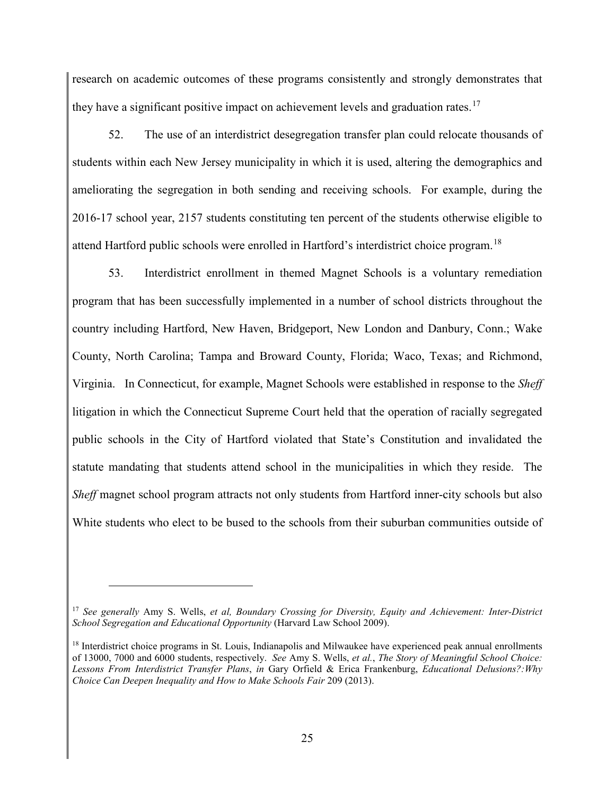research on academic outcomes of these programs consistently and strongly demonstrates that they have a significant positive impact on achievement levels and graduation rates.<sup>17</sup>

52. The use of an interdistrict desegregation transfer plan could relocate thousands of students within each New Jersey municipality in which it is used, altering the demographics and ameliorating the segregation in both sending and receiving schools. For example, during the 2016-17 school year, 2157 students constituting ten percent of the students otherwise eligible to attend Hartford public schools were enrolled in Hartford's interdistrict choice program.18

53. Interdistrict enrollment in themed Magnet Schools is a voluntary remediation program that has been successfully implemented in a number of school districts throughout the country including Hartford, New Haven, Bridgeport, New London and Danbury, Conn.; Wake County, North Carolina; Tampa and Broward County, Florida; Waco, Texas; and Richmond, Virginia. In Connecticut, for example, Magnet Schools were established in response to the *Sheff* litigation in which the Connecticut Supreme Court held that the operation of racially segregated public schools in the City of Hartford violated that State's Constitution and invalidated the statute mandating that students attend school in the municipalities in which they reside. The *Sheff* magnet school program attracts not only students from Hartford inner-city schools but also White students who elect to be bused to the schools from their suburban communities outside of

<sup>17</sup> *See generally* Amy S. Wells, *et al, Boundary Crossing for Diversity, Equity and Achievement: Inter-District School Segregation and Educational Opportunity* (Harvard Law School 2009).

<sup>&</sup>lt;sup>18</sup> Interdistrict choice programs in St. Louis, Indianapolis and Milwaukee have experienced peak annual enrollments of 13000, 7000 and 6000 students, respectively. *See* Amy S. Wells, *et al.*, *The Story of Meaningful School Choice: Lessons From Interdistrict Transfer Plans*, *in* Gary Orfield & Erica Frankenburg, *Educational Delusions?:Why Choice Can Deepen Inequality and How to Make Schools Fair* 209 (2013).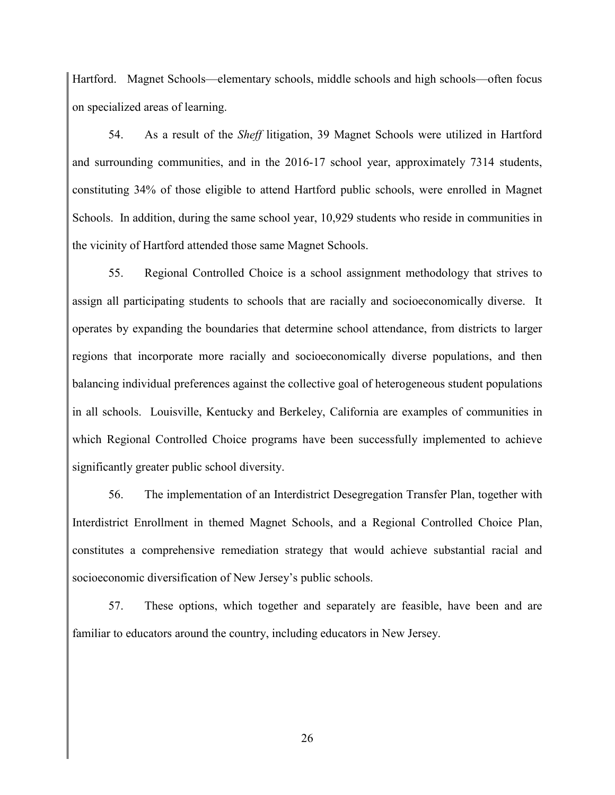Hartford. Magnet Schools—elementary schools, middle schools and high schools—often focus on specialized areas of learning.

54. As a result of the *Sheff* litigation, 39 Magnet Schools were utilized in Hartford and surrounding communities, and in the 2016-17 school year, approximately 7314 students, constituting 34% of those eligible to attend Hartford public schools, were enrolled in Magnet Schools. In addition, during the same school year, 10,929 students who reside in communities in the vicinity of Hartford attended those same Magnet Schools.

55. Regional Controlled Choice is a school assignment methodology that strives to assign all participating students to schools that are racially and socioeconomically diverse. It operates by expanding the boundaries that determine school attendance, from districts to larger regions that incorporate more racially and socioeconomically diverse populations, and then balancing individual preferences against the collective goal of heterogeneous student populations in all schools. Louisville, Kentucky and Berkeley, California are examples of communities in which Regional Controlled Choice programs have been successfully implemented to achieve significantly greater public school diversity.

56. The implementation of an Interdistrict Desegregation Transfer Plan, together with Interdistrict Enrollment in themed Magnet Schools, and a Regional Controlled Choice Plan, constitutes a comprehensive remediation strategy that would achieve substantial racial and socioeconomic diversification of New Jersey's public schools.

57. These options, which together and separately are feasible, have been and are familiar to educators around the country, including educators in New Jersey.

26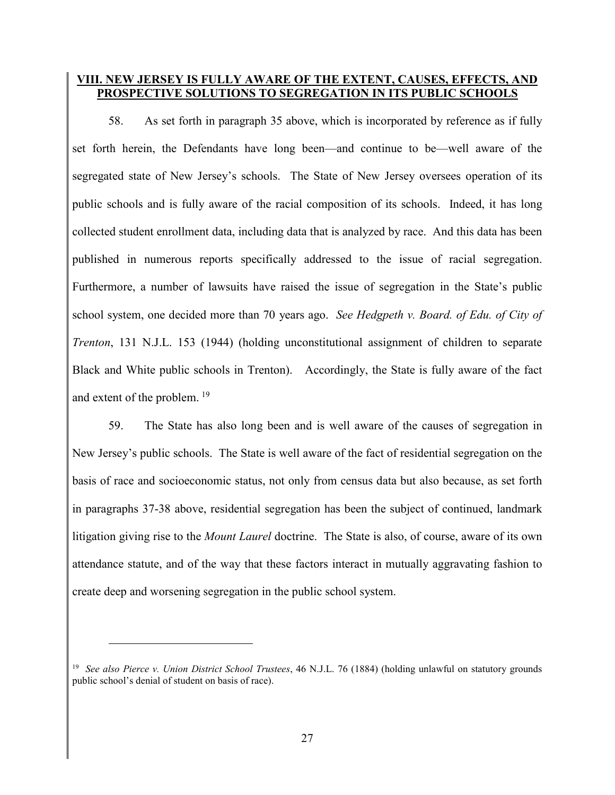## **VIII. NEW JERSEY IS FULLY AWARE OF THE EXTENT, CAUSES, EFFECTS, AND PROSPECTIVE SOLUTIONS TO SEGREGATION IN ITS PUBLIC SCHOOLS**

58. As set forth in paragraph 35 above, which is incorporated by reference as if fully set forth herein, the Defendants have long been—and continue to be—well aware of the segregated state of New Jersey's schools. The State of New Jersey oversees operation of its public schools and is fully aware of the racial composition of its schools. Indeed, it has long collected student enrollment data, including data that is analyzed by race. And this data has been published in numerous reports specifically addressed to the issue of racial segregation. Furthermore, a number of lawsuits have raised the issue of segregation in the State's public school system, one decided more than 70 years ago. *See Hedgpeth v. Board. of Edu. of City of Trenton*, 131 N.J.L. 153 (1944) (holding unconstitutional assignment of children to separate Black and White public schools in Trenton). Accordingly, the State is fully aware of the fact and extent of the problem. <sup>19</sup>

59. The State has also long been and is well aware of the causes of segregation in New Jersey's public schools. The State is well aware of the fact of residential segregation on the basis of race and socioeconomic status, not only from census data but also because, as set forth in paragraphs 37-38 above, residential segregation has been the subject of continued, landmark litigation giving rise to the *Mount Laurel* doctrine. The State is also, of course, aware of its own attendance statute, and of the way that these factors interact in mutually aggravating fashion to create deep and worsening segregation in the public school system.

<sup>19</sup> *See also Pierce v. Union District School Trustees*, 46 N.J.L. 76 (1884) (holding unlawful on statutory grounds public school's denial of student on basis of race).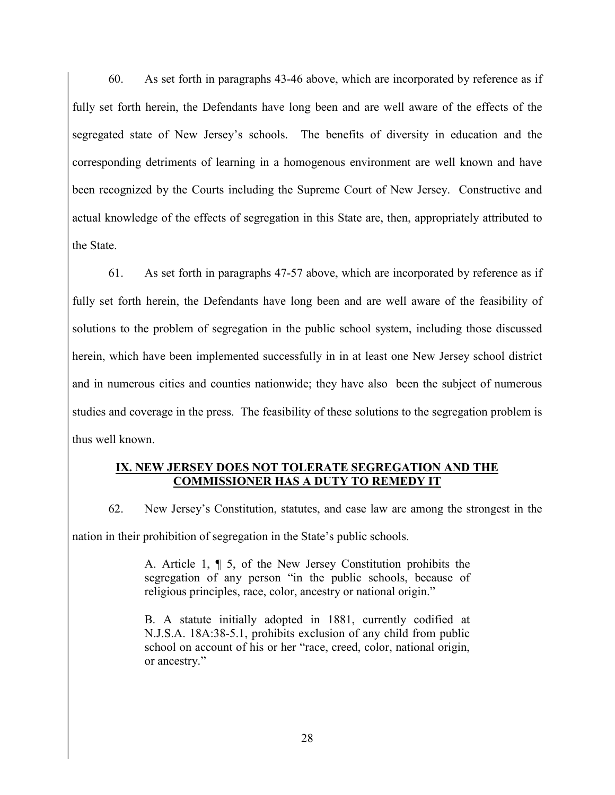60. As set forth in paragraphs 43-46 above, which are incorporated by reference as if fully set forth herein, the Defendants have long been and are well aware of the effects of the segregated state of New Jersey's schools. The benefits of diversity in education and the corresponding detriments of learning in a homogenous environment are well known and have been recognized by the Courts including the Supreme Court of New Jersey. Constructive and actual knowledge of the effects of segregation in this State are, then, appropriately attributed to the State.

61. As set forth in paragraphs 47-57 above, which are incorporated by reference as if fully set forth herein, the Defendants have long been and are well aware of the feasibility of solutions to the problem of segregation in the public school system, including those discussed herein, which have been implemented successfully in in at least one New Jersey school district and in numerous cities and counties nationwide; they have also been the subject of numerous studies and coverage in the press. The feasibility of these solutions to the segregation problem is thus well known.

# **IX. NEW JERSEY DOES NOT TOLERATE SEGREGATION AND THE COMMISSIONER HAS A DUTY TO REMEDY IT**

62. New Jersey's Constitution, statutes, and case law are among the strongest in the nation in their prohibition of segregation in the State's public schools.

> A. Article 1, ¶ 5, of the New Jersey Constitution prohibits the segregation of any person "in the public schools, because of religious principles, race, color, ancestry or national origin."

> B. A statute initially adopted in 1881, currently codified at N.J.S.A. 18A:38-5.1, prohibits exclusion of any child from public school on account of his or her "race, creed, color, national origin, or ancestry."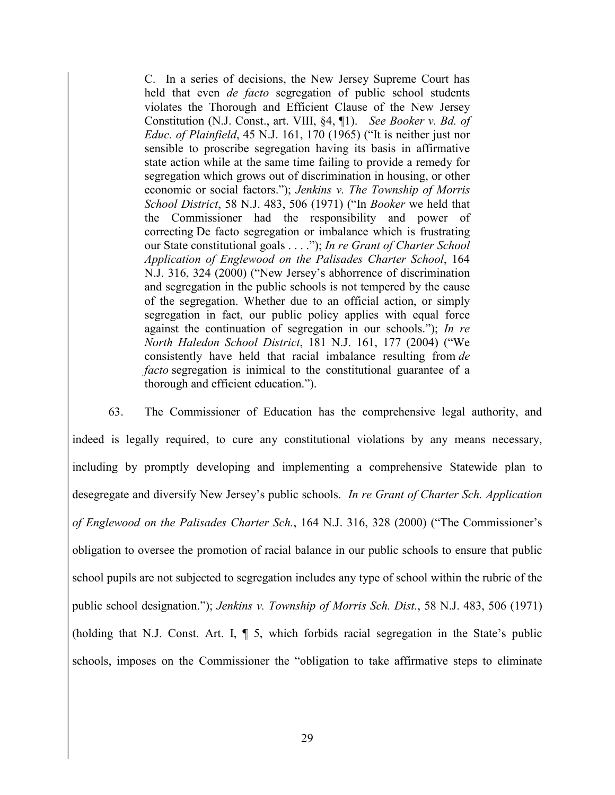C. In a series of decisions, the New Jersey Supreme Court has held that even *de facto* segregation of public school students violates the Thorough and Efficient Clause of the New Jersey Constitution (N.J. Const., art. VIII, §4, ¶1). *See Booker v. Bd. of Educ. of Plainfield*, 45 N.J. 161, 170 (1965) ("It is neither just nor sensible to proscribe segregation having its basis in affirmative state action while at the same time failing to provide a remedy for segregation which grows out of discrimination in housing, or other economic or social factors."); *Jenkins v. The Township of Morris School District*, 58 N.J. 483, 506 (1971) ("In *Booker* we held that the Commissioner had the responsibility and power of correcting De facto segregation or imbalance which is frustrating our State constitutional goals . . . ."); *In re Grant of Charter School Application of Englewood on the Palisades Charter School*, 164 N.J. 316, 324 (2000) ("New Jersey's abhorrence of discrimination and segregation in the public schools is not tempered by the cause of the segregation. Whether due to an official action, or simply segregation in fact, our public policy applies with equal force against the continuation of segregation in our schools."); *In re North Haledon School District*, 181 N.J. 161, 177 (2004) ("We consistently have held that racial imbalance resulting from *de facto* segregation is inimical to the constitutional guarantee of a thorough and efficient education.").

63. The Commissioner of Education has the comprehensive legal authority, and indeed is legally required, to cure any constitutional violations by any means necessary, including by promptly developing and implementing a comprehensive Statewide plan to desegregate and diversify New Jersey's public schools. *In re Grant of Charter Sch. Application of Englewood on the Palisades Charter Sch.*, 164 N.J. 316, 328 (2000) ("The Commissioner's obligation to oversee the promotion of racial balance in our public schools to ensure that public school pupils are not subjected to segregation includes any type of school within the rubric of the public school designation."); *Jenkins v. Township of Morris Sch. Dist.*, 58 N.J. 483, 506 (1971) (holding that N.J. Const. Art. I, ¶ 5, which forbids racial segregation in the State's public schools, imposes on the Commissioner the "obligation to take affirmative steps to eliminate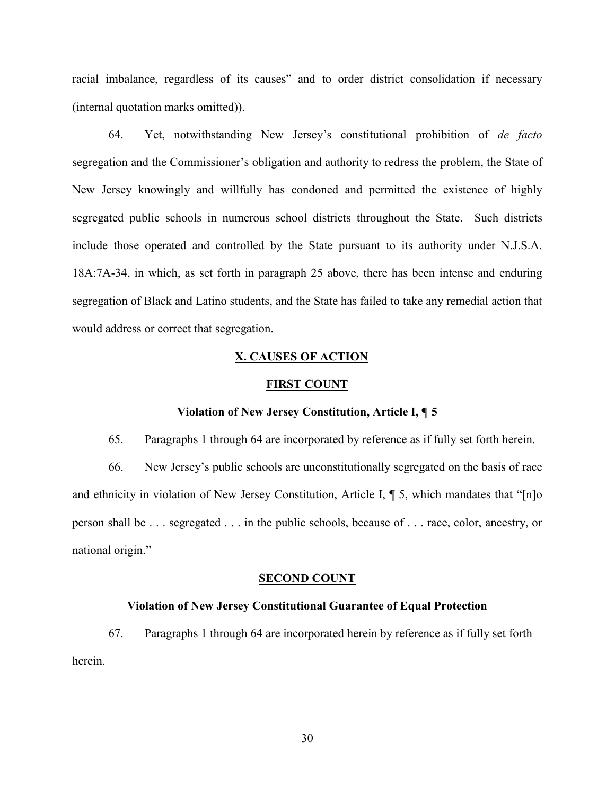racial imbalance, regardless of its causes" and to order district consolidation if necessary (internal quotation marks omitted)).

64. Yet, notwithstanding New Jersey's constitutional prohibition of *de facto* segregation and the Commissioner's obligation and authority to redress the problem, the State of New Jersey knowingly and willfully has condoned and permitted the existence of highly segregated public schools in numerous school districts throughout the State. Such districts include those operated and controlled by the State pursuant to its authority under N.J.S.A. 18A:7A-34, in which, as set forth in paragraph 25 above, there has been intense and enduring segregation of Black and Latino students, and the State has failed to take any remedial action that would address or correct that segregation.

### **X. CAUSES OF ACTION**

#### **FIRST COUNT**

#### **Violation of New Jersey Constitution, Article I, ¶ 5**

65. Paragraphs 1 through 64 are incorporated by reference as if fully set forth herein.

66. New Jersey's public schools are unconstitutionally segregated on the basis of race and ethnicity in violation of New Jersey Constitution, Article I, ¶ 5, which mandates that "[n]o person shall be . . . segregated . . . in the public schools, because of . . . race, color, ancestry, or national origin."

#### **SECOND COUNT**

#### **Violation of New Jersey Constitutional Guarantee of Equal Protection**

67. Paragraphs 1 through 64 are incorporated herein by reference as if fully set forth herein.

30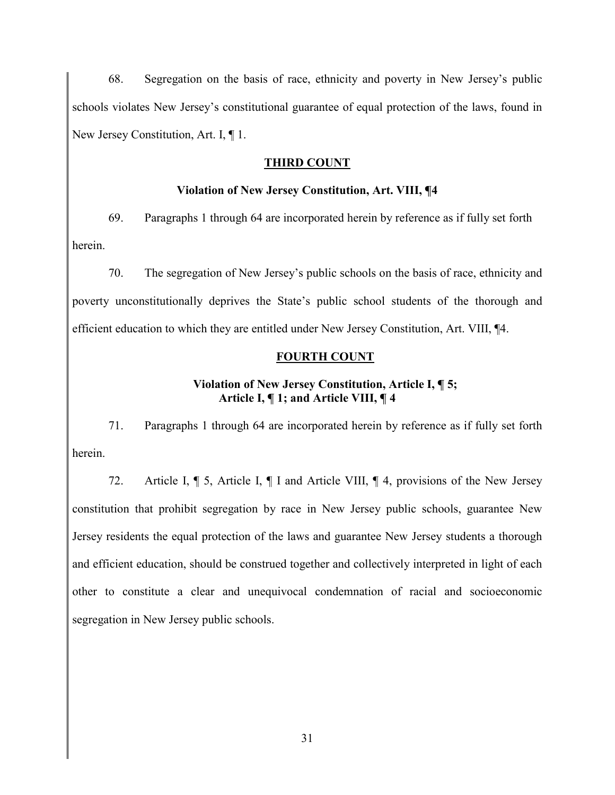68. Segregation on the basis of race, ethnicity and poverty in New Jersey's public schools violates New Jersey's constitutional guarantee of equal protection of the laws, found in New Jersey Constitution, Art. I, ¶ 1.

# **THIRD COUNT**

# **Violation of New Jersey Constitution, Art. VIII, ¶4**

69. Paragraphs 1 through 64 are incorporated herein by reference as if fully set forth herein.

70. The segregation of New Jersey's public schools on the basis of race, ethnicity and poverty unconstitutionally deprives the State's public school students of the thorough and efficient education to which they are entitled under New Jersey Constitution, Art. VIII, ¶4.

# **FOURTH COUNT**

# **Violation of New Jersey Constitution, Article I, ¶ 5; Article I, ¶ 1; and Article VIII, ¶ 4**

71. Paragraphs 1 through 64 are incorporated herein by reference as if fully set forth herein.

72. Article I, ¶ 5, Article I, ¶ I and Article VIII, ¶ 4, provisions of the New Jersey constitution that prohibit segregation by race in New Jersey public schools, guarantee New Jersey residents the equal protection of the laws and guarantee New Jersey students a thorough and efficient education, should be construed together and collectively interpreted in light of each other to constitute a clear and unequivocal condemnation of racial and socioeconomic segregation in New Jersey public schools.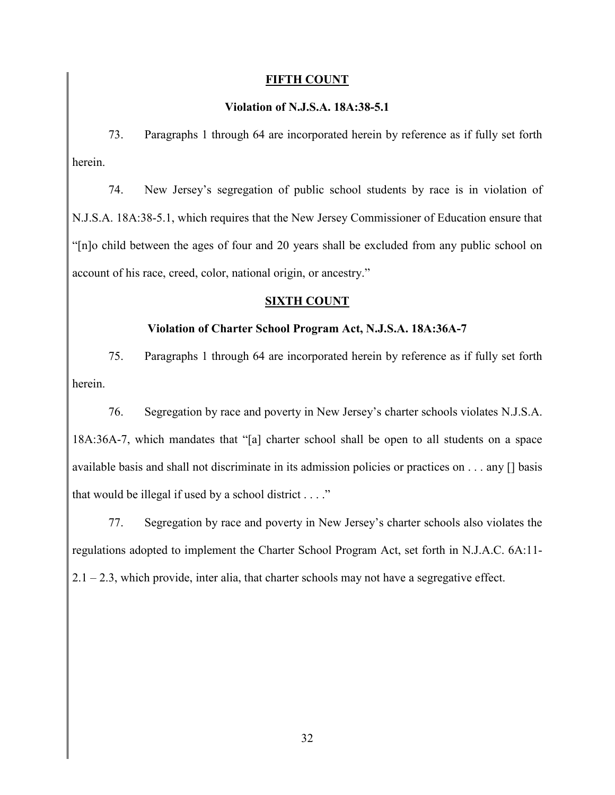### **FIFTH COUNT**

# **Violation of N.J.S.A. 18A:38-5.1**

73. Paragraphs 1 through 64 are incorporated herein by reference as if fully set forth herein.

74. New Jersey's segregation of public school students by race is in violation of N.J.S.A. 18A:38-5.1, which requires that the New Jersey Commissioner of Education ensure that "[n]o child between the ages of four and 20 years shall be excluded from any public school on account of his race, creed, color, national origin, or ancestry."

# **SIXTH COUNT**

# **Violation of Charter School Program Act, N.J.S.A. 18A:36A-7**

75. Paragraphs 1 through 64 are incorporated herein by reference as if fully set forth herein.

76. Segregation by race and poverty in New Jersey's charter schools violates N.J.S.A. 18A:36A-7, which mandates that "[a] charter school shall be open to all students on a space available basis and shall not discriminate in its admission policies or practices on . . . any [] basis that would be illegal if used by a school district  $\dots$ ."

77. Segregation by race and poverty in New Jersey's charter schools also violates the regulations adopted to implement the Charter School Program Act, set forth in N.J.A.C. 6A:11-  $2.1 - 2.3$ , which provide, inter alia, that charter schools may not have a segregative effect.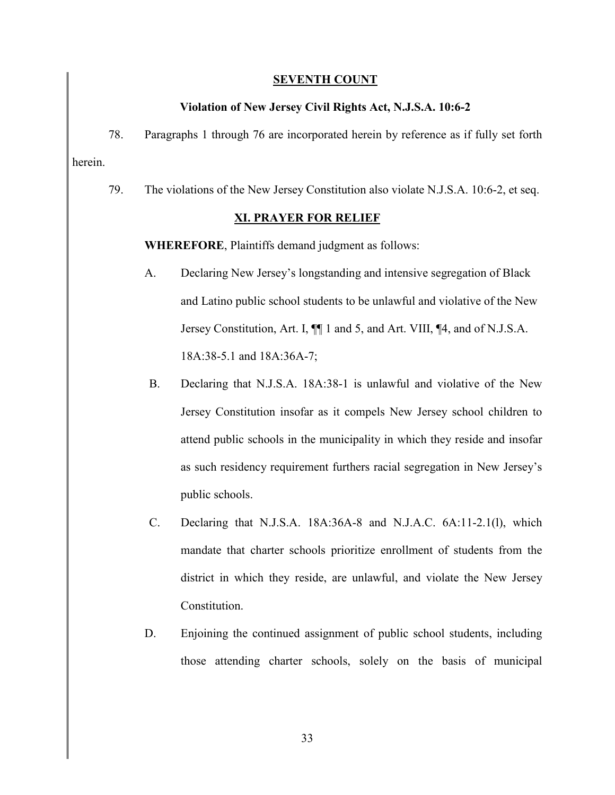### **SEVENTH COUNT**

### **Violation of New Jersey Civil Rights Act, N.J.S.A. 10:6-2**

78. Paragraphs 1 through 76 are incorporated herein by reference as if fully set forth herein.

79. The violations of the New Jersey Constitution also violate N.J.S.A. 10:6-2, et seq.

### **XI. PRAYER FOR RELIEF**

**WHEREFORE**, Plaintiffs demand judgment as follows:

- A. Declaring New Jersey's longstanding and intensive segregation of Black and Latino public school students to be unlawful and violative of the New Jersey Constitution, Art. I, ¶¶ 1 and 5, and Art. VIII, ¶4, and of N.J.S.A. 18A:38-5.1 and 18A:36A-7;
- B. Declaring that N.J.S.A. 18A:38-1 is unlawful and violative of the New Jersey Constitution insofar as it compels New Jersey school children to attend public schools in the municipality in which they reside and insofar as such residency requirement furthers racial segregation in New Jersey's public schools.
- C. Declaring that N.J.S.A. 18A:36A-8 and N.J.A.C. 6A:11-2.1(l), which mandate that charter schools prioritize enrollment of students from the district in which they reside, are unlawful, and violate the New Jersey Constitution.
- D. Enjoining the continued assignment of public school students, including those attending charter schools, solely on the basis of municipal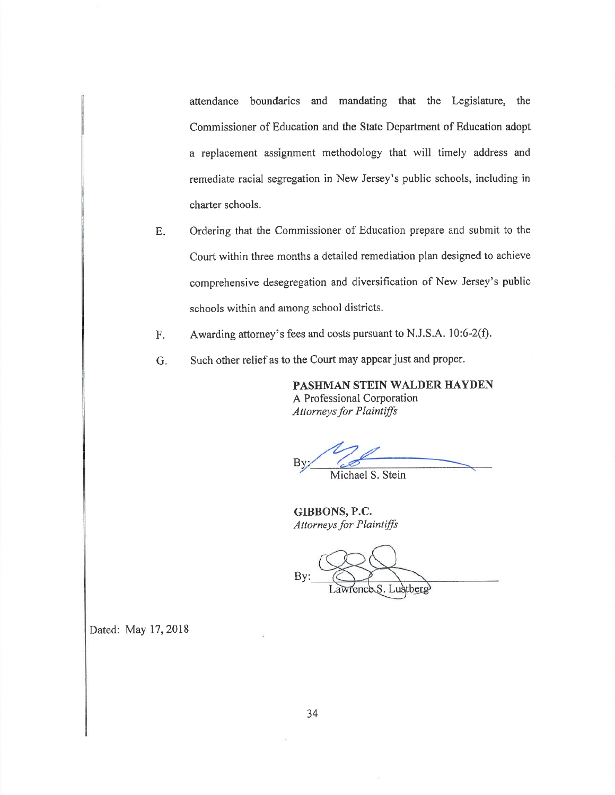attendance boundaries and mandating that the Legislature, the Commissioner of Education and the State Department of Education adopt a replacement assignment methodology that will timely address and remediate racial segregation in New Jersey's public schools, including in charter schools.

- Ordering that the Commissioner of Education prepare and submit to the  $E.$ Court within three months a detailed remediation plan designed to achieve comprehensive desegregation and diversification of New Jersey's public schools within and among school districts.
- Awarding attorney's fees and costs pursuant to N.J.S.A. 10:6-2(f). F.
- Such other relief as to the Court may appear just and proper. G.

PASHMAN STEIN WALDER HAYDEN A Professional Corporation **Attorneys for Plaintiffs** 

Michael S. Stein

GIBBONS, P.C. Attorneys for Plaintiffs

Lustberg

Dated: May 17, 2018